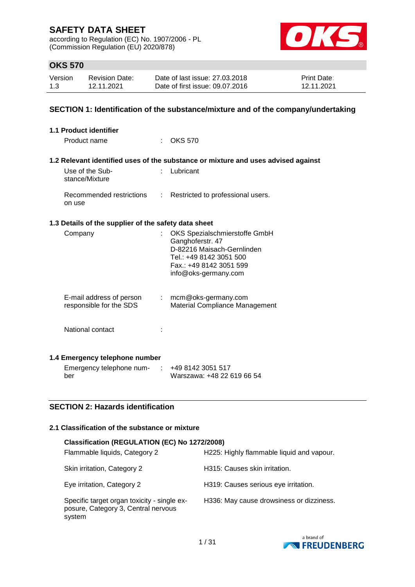according to Regulation (EC) No. 1907/2006 - PL (Commission Regulation (EU) 2020/878)



# **OKS 570**

| Version | <b>Revision Date:</b> | Date of last issue: 27,03,2018  | <b>Print Date:</b> |
|---------|-----------------------|---------------------------------|--------------------|
| 1.3     | 12.11.2021            | Date of first issue: 09.07.2016 | 12.11.2021         |

### **SECTION 1: Identification of the substance/mixture and of the company/undertaking**

| <b>1.1 Product identifier</b>                        |                                                                                                                                                               |
|------------------------------------------------------|---------------------------------------------------------------------------------------------------------------------------------------------------------------|
| Product name                                         | <b>OKS 570</b>                                                                                                                                                |
|                                                      |                                                                                                                                                               |
|                                                      | 1.2 Relevant identified uses of the substance or mixture and uses advised against                                                                             |
| Use of the Sub-<br>stance/Mixture                    | : Lubricant                                                                                                                                                   |
| Recommended restrictions<br>on use                   | : Restricted to professional users.                                                                                                                           |
| 1.3 Details of the supplier of the safety data sheet |                                                                                                                                                               |
| Company                                              | OKS Spezialschmierstoffe GmbH<br>Ganghoferstr. 47<br>D-82216 Maisach-Gernlinden<br>Tel.: +49 8142 3051 500<br>Fax.: +49 8142 3051 599<br>info@oks-germany.com |
| E-mail address of person<br>responsible for the SDS  | : mcm@oks-germany.com<br>Material Compliance Management                                                                                                       |
| National contact                                     |                                                                                                                                                               |
| 1.4 Emergency telephone number                       |                                                                                                                                                               |
| Emergency telephone num- : +49 8142 3051 517         |                                                                                                                                                               |

ber

**SECTION 2: Hazards identification**

# **2.1 Classification of the substance or mixture**

| Classification (REGULATION (EC) No 1272/2008)                                                |                                           |
|----------------------------------------------------------------------------------------------|-------------------------------------------|
| Flammable liquids, Category 2                                                                | H225: Highly flammable liquid and vapour. |
| Skin irritation, Category 2                                                                  | H315: Causes skin irritation.             |
| Eye irritation, Category 2                                                                   | H319: Causes serious eye irritation.      |
| Specific target organ toxicity - single ex-<br>posure, Category 3, Central nervous<br>system | H336: May cause drowsiness or dizziness.  |

Warszawa: +48 22 619 66 54

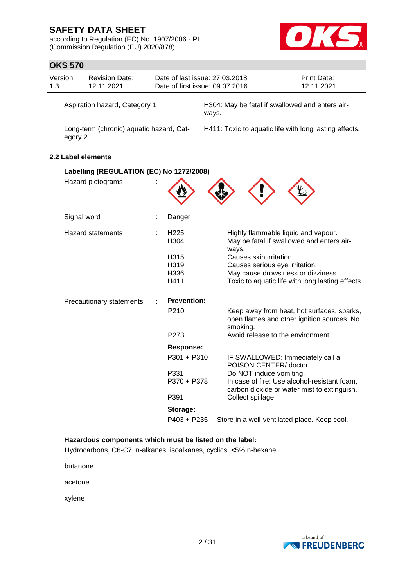according to Regulation (EC) No. 1907/2006 - PL (Commission Regulation (EU) 2020/878)



|                               | <b>OKS 570</b>                                      |                                          |  |                                                                   |       |                                |                                                                                             |
|-------------------------------|-----------------------------------------------------|------------------------------------------|--|-------------------------------------------------------------------|-------|--------------------------------|---------------------------------------------------------------------------------------------|
| Version<br>1.3                |                                                     | <b>Revision Date:</b><br>12.11.2021      |  | Date of last issue: 27.03.2018<br>Date of first issue: 09.07.2016 |       |                                | Print Date:<br>12.11.2021                                                                   |
| Aspiration hazard, Category 1 |                                                     |                                          |  |                                                                   | ways. |                                | H304: May be fatal if swallowed and enters air-                                             |
|                               | Long-term (chronic) aquatic hazard, Cat-<br>egory 2 |                                          |  |                                                                   |       |                                | H411: Toxic to aquatic life with long lasting effects.                                      |
|                               |                                                     | 2.2 Label elements                       |  |                                                                   |       |                                |                                                                                             |
|                               |                                                     | Labelling (REGULATION (EC) No 1272/2008) |  |                                                                   |       |                                |                                                                                             |
|                               |                                                     | Hazard pictograms                        |  |                                                                   |       |                                |                                                                                             |
|                               | Signal word                                         |                                          |  | Danger                                                            |       |                                |                                                                                             |
|                               |                                                     | <b>Hazard statements</b>                 |  | H <sub>225</sub><br>H304                                          |       | ways.                          | Highly flammable liquid and vapour.<br>May be fatal if swallowed and enters air-            |
|                               |                                                     |                                          |  | H315                                                              |       | Causes skin irritation.        |                                                                                             |
|                               |                                                     |                                          |  | H319                                                              |       | Causes serious eye irritation. |                                                                                             |
|                               |                                                     |                                          |  | H336<br>H411                                                      |       |                                | May cause drowsiness or dizziness.<br>Toxic to aquatic life with long lasting effects.      |
|                               |                                                     | Precautionary statements                 |  | <b>Prevention:</b>                                                |       |                                |                                                                                             |
|                               |                                                     |                                          |  | P210                                                              |       | smoking.                       | Keep away from heat, hot surfaces, sparks,<br>open flames and other ignition sources. No    |
|                               |                                                     |                                          |  | P273                                                              |       |                                | Avoid release to the environment.                                                           |
|                               |                                                     |                                          |  | <b>Response:</b>                                                  |       |                                |                                                                                             |
|                               |                                                     |                                          |  | P301 + P310                                                       |       | POISON CENTER/doctor.          | IF SWALLOWED: Immediately call a                                                            |
|                               |                                                     |                                          |  | P331<br>P370 + P378                                               |       | Do NOT induce vomiting.        | In case of fire: Use alcohol-resistant foam,<br>carbon dioxide or water mist to extinguish. |
|                               |                                                     |                                          |  | P391                                                              |       | Collect spillage.              |                                                                                             |
|                               |                                                     |                                          |  | Storage:                                                          |       |                                |                                                                                             |
|                               |                                                     |                                          |  | P403 + P235                                                       |       |                                | Store in a well-ventilated place. Keep cool.                                                |

**Hazardous components which must be listed on the label:**

Hydrocarbons, C6-C7, n-alkanes, isoalkanes, cyclics, <5% n-hexane

butanone

acetone

xylene

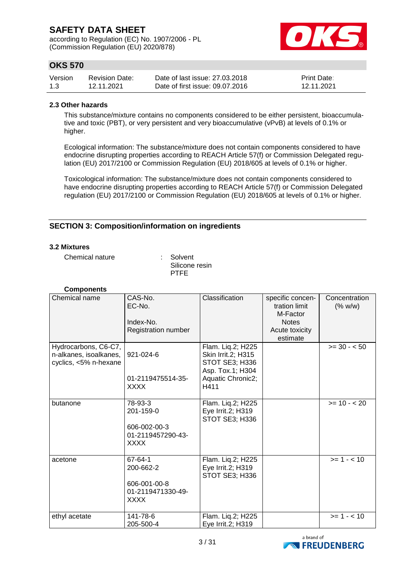according to Regulation (EC) No. 1907/2006 - PL (Commission Regulation (EU) 2020/878)



# **OKS 570**

| Version | <b>Revision Date:</b> | Date of last issue: 27,03,2018  | <b>Print Date:</b> |
|---------|-----------------------|---------------------------------|--------------------|
| 1.3     | 12.11.2021            | Date of first issue: 09.07.2016 | 12.11.2021         |

### **2.3 Other hazards**

This substance/mixture contains no components considered to be either persistent, bioaccumulative and toxic (PBT), or very persistent and very bioaccumulative (vPvB) at levels of 0.1% or higher.

Ecological information: The substance/mixture does not contain components considered to have endocrine disrupting properties according to REACH Article 57(f) or Commission Delegated regulation (EU) 2017/2100 or Commission Regulation (EU) 2018/605 at levels of 0.1% or higher.

Toxicological information: The substance/mixture does not contain components considered to have endocrine disrupting properties according to REACH Article 57(f) or Commission Delegated regulation (EU) 2017/2100 or Commission Regulation (EU) 2018/605 at levels of 0.1% or higher.

### **SECTION 3: Composition/information on ingredients**

### **3.2 Mixtures**

Chemical nature : Solvent

Silicone resin PTFE

| <b>Components</b>                                                       |                                                                          |                                                                                      |                                                               |                          |
|-------------------------------------------------------------------------|--------------------------------------------------------------------------|--------------------------------------------------------------------------------------|---------------------------------------------------------------|--------------------------|
| Chemical name                                                           | CAS-No.<br>EC-No.<br>Index-No.                                           | Classification                                                                       | specific concen-<br>tration limit<br>M-Factor<br><b>Notes</b> | Concentration<br>(% w/w) |
|                                                                         | Registration number                                                      |                                                                                      | Acute toxicity<br>estimate                                    |                          |
| Hydrocarbons, C6-C7,<br>n-alkanes, isoalkanes,<br>cyclics, <5% n-hexane | 921-024-6                                                                | Flam. Liq.2; H225<br>Skin Irrit.2; H315<br><b>STOT SE3; H336</b><br>Asp. Tox.1; H304 |                                                               | $>= 30 - 50$             |
|                                                                         | 01-2119475514-35-<br><b>XXXX</b>                                         | Aquatic Chronic2;<br>H411                                                            |                                                               |                          |
| butanone                                                                | 78-93-3<br>201-159-0<br>606-002-00-3<br>01-2119457290-43-<br><b>XXXX</b> | Flam. Liq.2; H225<br>Eye Irrit.2; H319<br>STOT SE3; H336                             |                                                               | $>= 10 - 20$             |
| acetone                                                                 | 67-64-1<br>200-662-2<br>606-001-00-8<br>01-2119471330-49-<br><b>XXXX</b> | Flam. Liq.2; H225<br>Eye Irrit.2; H319<br>STOT SE3; H336                             |                                                               | $>= 1 - 10$              |
| ethyl acetate                                                           | 141-78-6<br>205-500-4                                                    | Flam. Liq.2; H225<br>Eye Irrit.2; H319                                               |                                                               | $>= 1 - 10$              |

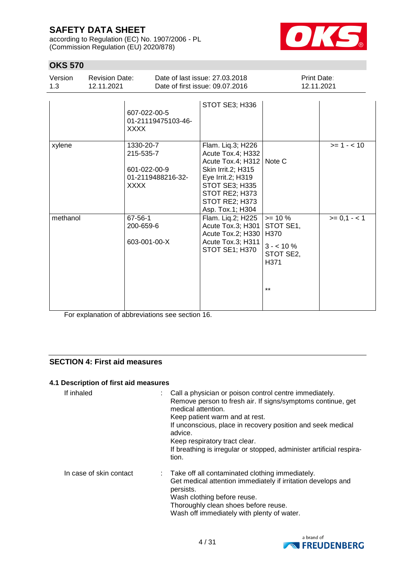according to Regulation (EC) No. 1907/2006 - PL (Commission Regulation (EU) 2020/878)



# **OKS 570**

| Version<br>1.3 | <b>Revision Date:</b><br>12.11.2021 |                                                             | Date of last issue: 27,03,2018<br>Date of first issue: 09.07.2016                                                                                                                                | Print Date:<br>12.11.2021 |              |  |
|----------------|-------------------------------------|-------------------------------------------------------------|--------------------------------------------------------------------------------------------------------------------------------------------------------------------------------------------------|---------------------------|--------------|--|
|                | <b>XXXX</b>                         | 607-022-00-5<br>01-21119475103-46-                          | STOT SE3; H336                                                                                                                                                                                   |                           |              |  |
| xylene         | XXXX                                | 1330-20-7<br>215-535-7<br>601-022-00-9<br>01-2119488216-32- | Flam. Liq.3; H226<br>Acute Tox.4; H332<br>Acute Tox.4; H312   Note C<br>Skin Irrit.2; H315<br>Eye Irrit.2; H319<br><b>STOT SE3; H335</b><br>STOT RE2; H373<br>STOT RE2; H373<br>Asp. Tox.1; H304 |                           | $>= 1 - 10$  |  |
| methanol       |                                     | $67 - 56 - 1$                                               | Flam. Liq.2; H225                                                                                                                                                                                | $>= 10 \%$                | $>= 0,1 - 1$ |  |

Acute Tox.3; H301 Acute Tox.2; H330 H370 Acute Tox.3; H311 STOT SE1; H370

STOT SE1,

 $3 - 10\%$ STOT SE2, H371

\*\*

For explanation of abbreviations see section 16.

200-659-6

603-001-00-X

### **SECTION 4: First aid measures**

### **4.1 Description of first aid measures**

| If inhaled              | advice.<br>tion. | : Call a physician or poison control centre immediately.<br>Remove person to fresh air. If signs/symptoms continue, get<br>medical attention.<br>Keep patient warm and at rest.<br>If unconscious, place in recovery position and seek medical<br>Keep respiratory tract clear.<br>If breathing is irregular or stopped, administer artificial respira- |
|-------------------------|------------------|---------------------------------------------------------------------------------------------------------------------------------------------------------------------------------------------------------------------------------------------------------------------------------------------------------------------------------------------------------|
| In case of skin contact | persists.        | : Take off all contaminated clothing immediately.<br>Get medical attention immediately if irritation develops and<br>Wash clothing before reuse.<br>Thoroughly clean shoes before reuse.<br>Wash off immediately with plenty of water.                                                                                                                  |

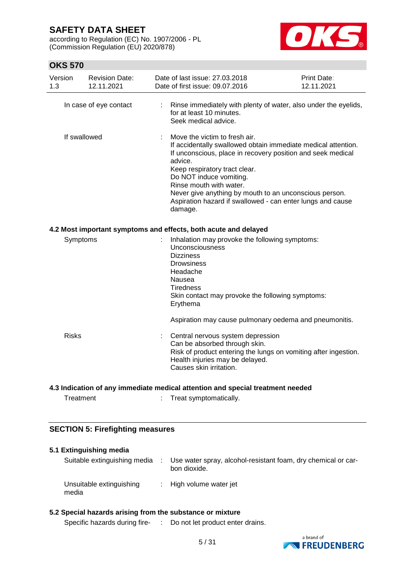according to Regulation (EC) No. 1907/2006 - PL (Commission Regulation (EU) 2020/878)



# **OKS 570**

| Version<br>1.3 | <b>Revision Date:</b><br>12.11.2021 | Date of last issue: 27.03.2018<br>Date of first issue: 09.07.2016                                                                                                                                                                                                                                                                                                                                  | <b>Print Date:</b><br>12.11.2021 |
|----------------|-------------------------------------|----------------------------------------------------------------------------------------------------------------------------------------------------------------------------------------------------------------------------------------------------------------------------------------------------------------------------------------------------------------------------------------------------|----------------------------------|
|                | In case of eye contact              | : Rinse immediately with plenty of water, also under the eyelids,<br>for at least 10 minutes.<br>Seek medical advice.                                                                                                                                                                                                                                                                              |                                  |
|                | If swallowed                        | Move the victim to fresh air.<br>If accidentally swallowed obtain immediate medical attention.<br>If unconscious, place in recovery position and seek medical<br>advice.<br>Keep respiratory tract clear.<br>Do NOT induce vomiting.<br>Rinse mouth with water.<br>Never give anything by mouth to an unconscious person.<br>Aspiration hazard if swallowed - can enter lungs and cause<br>damage. |                                  |
|                |                                     | 4.2 Most important symptoms and effects, both acute and delayed                                                                                                                                                                                                                                                                                                                                    |                                  |
|                | Symptoms                            | Inhalation may provoke the following symptoms:<br>Unconsciousness<br><b>Dizziness</b><br><b>Drowsiness</b><br>Headache<br>Nausea<br><b>Tiredness</b><br>Skin contact may provoke the following symptoms:<br>Erythema                                                                                                                                                                               |                                  |
|                |                                     | Aspiration may cause pulmonary oedema and pneumonitis.                                                                                                                                                                                                                                                                                                                                             |                                  |
| <b>Risks</b>   |                                     | Central nervous system depression<br>Can be absorbed through skin.<br>Risk of product entering the lungs on vomiting after ingestion.<br>Health injuries may be delayed.<br>Causes skin irritation.                                                                                                                                                                                                |                                  |
|                |                                     | 4.3 Indication of any immediate medical attention and special treatment needed                                                                                                                                                                                                                                                                                                                     |                                  |

Treatment : Treat symptomatically.

### **SECTION 5: Firefighting measures**

### **5.1 Extinguishing media** Suitable extinguishing media : Use water spray, alcohol-resistant foam, dry chemical or carbon dioxide. Unsuitable extinguishing media : High volume water jet

### **5.2 Special hazards arising from the substance or mixture**

Specific hazards during fire- : Do not let product enter drains.

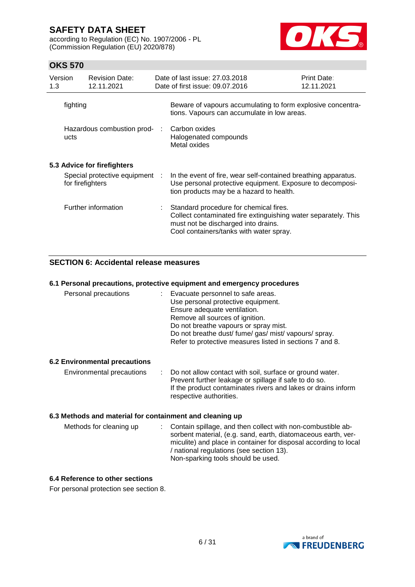according to Regulation (EC) No. 1907/2006 - PL (Commission Regulation (EU) 2020/878)



# **OKS 570**

| Version<br>1.3 | <b>Revision Date:</b><br>12.11.2021                | Date of last issue: 27,03,2018<br>Date of first issue: 09.07.2016                                                                                                                          | Print Date:<br>12.11.2021 |
|----------------|----------------------------------------------------|--------------------------------------------------------------------------------------------------------------------------------------------------------------------------------------------|---------------------------|
| fighting       |                                                    | Beware of vapours accumulating to form explosive concentra-<br>tions. Vapours can accumulate in low areas.                                                                                 |                           |
| ucts           | Hazardous combustion prod-                         | Carbon oxides<br>Halogenated compounds<br>Metal oxides                                                                                                                                     |                           |
|                | 5.3 Advice for firefighters                        |                                                                                                                                                                                            |                           |
|                | Special protective equipment :<br>for firefighters | In the event of fire, wear self-contained breathing apparatus.<br>Use personal protective equipment. Exposure to decomposi-<br>tion products may be a hazard to health.                    |                           |
|                | Further information                                | Standard procedure for chemical fires.<br>Collect contaminated fire extinguishing water separately. This<br>must not be discharged into drains.<br>Cool containers/tanks with water spray. |                           |

## **SECTION 6: Accidental release measures**

### **6.1 Personal precautions, protective equipment and emergency procedures**

| Personal precautions | Evacuate personnel to safe areas.<br>Use personal protective equipment.<br>Ensure adequate ventilation.<br>Remove all sources of ignition.<br>Do not breathe vapours or spray mist.<br>Do not breathe dust/ fume/ gas/ mist/ vapours/ spray.<br>Refer to protective measures listed in sections 7 and 8. |
|----------------------|----------------------------------------------------------------------------------------------------------------------------------------------------------------------------------------------------------------------------------------------------------------------------------------------------------|
|----------------------|----------------------------------------------------------------------------------------------------------------------------------------------------------------------------------------------------------------------------------------------------------------------------------------------------------|

### **6.2 Environmental precautions**

| Environmental precautions | : Do not allow contact with soil, surface or ground water.    |
|---------------------------|---------------------------------------------------------------|
|                           | Prevent further leakage or spillage if safe to do so.         |
|                           | If the product contaminates rivers and lakes or drains inform |
|                           | respective authorities.                                       |

### **6.3 Methods and material for containment and cleaning up**

| Methods for cleaning up | : Contain spillage, and then collect with non-combustible ab-    |
|-------------------------|------------------------------------------------------------------|
|                         | sorbent material, (e.g. sand, earth, diatomaceous earth, ver-    |
|                         | miculite) and place in container for disposal according to local |
|                         | / national regulations (see section 13).                         |
|                         | Non-sparking tools should be used.                               |

### **6.4 Reference to other sections**

For personal protection see section 8.

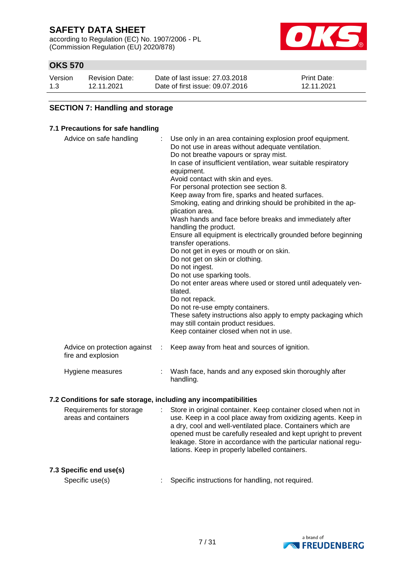according to Regulation (EC) No. 1907/2006 - PL (Commission Regulation (EU) 2020/878)



# **OKS 570**

| Version | <b>Revision Date:</b> | Date of last issue: 27,03,2018  | <b>Print Date:</b> |
|---------|-----------------------|---------------------------------|--------------------|
| 1.3     | 12.11.2021            | Date of first issue: 09.07.2016 | 12.11.2021         |

### **SECTION 7: Handling and storage**

### **7.1 Precautions for safe handling**

| Advice on safe handling                            |   | Use only in an area containing explosion proof equipment.<br>Do not use in areas without adequate ventilation.<br>Do not breathe vapours or spray mist.<br>In case of insufficient ventilation, wear suitable respiratory<br>equipment.<br>Avoid contact with skin and eyes.<br>For personal protection see section 8.<br>Keep away from fire, sparks and heated surfaces.<br>Smoking, eating and drinking should be prohibited in the ap-<br>plication area.<br>Wash hands and face before breaks and immediately after<br>handling the product.<br>Ensure all equipment is electrically grounded before beginning<br>transfer operations.<br>Do not get in eyes or mouth or on skin.<br>Do not get on skin or clothing.<br>Do not ingest.<br>Do not use sparking tools.<br>Do not enter areas where used or stored until adequately ven-<br>tilated.<br>Do not repack.<br>Do not re-use empty containers.<br>These safety instructions also apply to empty packaging which<br>may still contain product residues.<br>Keep container closed when not in use. |
|----------------------------------------------------|---|---------------------------------------------------------------------------------------------------------------------------------------------------------------------------------------------------------------------------------------------------------------------------------------------------------------------------------------------------------------------------------------------------------------------------------------------------------------------------------------------------------------------------------------------------------------------------------------------------------------------------------------------------------------------------------------------------------------------------------------------------------------------------------------------------------------------------------------------------------------------------------------------------------------------------------------------------------------------------------------------------------------------------------------------------------------|
| Advice on protection against<br>fire and explosion | ÷ | Keep away from heat and sources of ignition.                                                                                                                                                                                                                                                                                                                                                                                                                                                                                                                                                                                                                                                                                                                                                                                                                                                                                                                                                                                                                  |
| Hygiene measures                                   | ÷ | Wash face, hands and any exposed skin thoroughly after<br>handling.                                                                                                                                                                                                                                                                                                                                                                                                                                                                                                                                                                                                                                                                                                                                                                                                                                                                                                                                                                                           |

### **7.2 Conditions for safe storage, including any incompatibilities**

| Requirements for storage<br>areas and containers | : Store in original container. Keep container closed when not in<br>use. Keep in a cool place away from oxidizing agents. Keep in<br>a dry, cool and well-ventilated place. Containers which are<br>opened must be carefully resealed and kept upright to prevent<br>leakage. Store in accordance with the particular national regu-<br>lations. Keep in properly labelled containers. |
|--------------------------------------------------|----------------------------------------------------------------------------------------------------------------------------------------------------------------------------------------------------------------------------------------------------------------------------------------------------------------------------------------------------------------------------------------|
|                                                  |                                                                                                                                                                                                                                                                                                                                                                                        |

**7.3 Specific end use(s)**

Specific use(s) : Specific instructions for handling, not required.

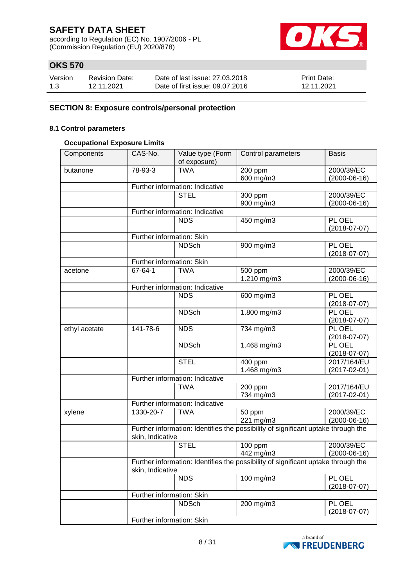according to Regulation (EC) No. 1907/2006 - PL (Commission Regulation (EU) 2020/878)



# **OKS 570**

| Version | <b>Revision Date:</b> | Date of last issue: 27,03,2018  | <b>Print Date:</b> |
|---------|-----------------------|---------------------------------|--------------------|
| 1.3     | 12.11.2021            | Date of first issue: 09.07.2016 | 12.11.2021         |

### **SECTION 8: Exposure controls/personal protection**

### **8.1 Control parameters**

### **Occupational Exposure Limits**

| Components    | CAS-No.                   | Value type (Form                | Control parameters                                                                | <b>Basis</b>                 |
|---------------|---------------------------|---------------------------------|-----------------------------------------------------------------------------------|------------------------------|
|               |                           | of exposure)                    |                                                                                   |                              |
| butanone      | 78-93-3                   | <b>TWA</b>                      | 200 ppm                                                                           | 2000/39/EC                   |
|               |                           |                                 | 600 mg/m3                                                                         | $(2000-06-16)$               |
|               |                           | Further information: Indicative |                                                                                   |                              |
|               |                           | <b>STEL</b>                     | 300 ppm                                                                           | 2000/39/EC                   |
|               |                           |                                 | 900 mg/m3                                                                         | $(2000-06-16)$               |
|               |                           | Further information: Indicative |                                                                                   |                              |
|               |                           | <b>NDS</b>                      | 450 mg/m3                                                                         | PL OEL<br>$(2018 - 07 - 07)$ |
|               | Further information: Skin |                                 |                                                                                   |                              |
|               |                           | <b>NDSch</b>                    | 900 mg/m3                                                                         | PL OEL<br>$(2018 - 07 - 07)$ |
|               | Further information: Skin |                                 |                                                                                   |                              |
| acetone       | 67-64-1                   | <b>TWA</b>                      | 500 ppm                                                                           | 2000/39/EC                   |
|               |                           |                                 | 1.210 mg/m3                                                                       | $(2000-06-16)$               |
|               |                           | Further information: Indicative |                                                                                   |                              |
|               |                           | <b>NDS</b>                      | 600 mg/m3                                                                         | PL OEL<br>$(2018-07-07)$     |
|               |                           | <b>NDSch</b>                    | 1.800 mg/m3                                                                       | PL OEL<br>$(2018 - 07 - 07)$ |
|               | 141-78-6                  | <b>NDS</b>                      |                                                                                   | PL OEL                       |
| ethyl acetate |                           |                                 | 734 mg/m3                                                                         | $(2018-07-07)$               |
|               |                           | <b>NDSch</b>                    | 1.468 mg/m3                                                                       | PL OEL<br>$(2018-07-07)$     |
|               |                           | <b>STEL</b>                     | 400 ppm                                                                           | 2017/164/EU                  |
|               |                           |                                 | 1.468 mg/m3                                                                       | $(2017 - 02 - 01)$           |
|               |                           | Further information: Indicative |                                                                                   |                              |
|               |                           | <b>TWA</b>                      | 200 ppm                                                                           | 2017/164/EU                  |
|               |                           |                                 | 734 mg/m3                                                                         | $(2017 - 02 - 01)$           |
|               |                           | Further information: Indicative |                                                                                   |                              |
| xylene        | 1330-20-7                 | <b>TWA</b>                      | 50 ppm                                                                            | 2000/39/EC                   |
|               |                           |                                 | 221 mg/m3                                                                         | $(2000-06-16)$               |
|               | skin, Indicative          |                                 | Further information: Identifies the possibility of significant uptake through the |                              |
|               |                           | <b>STEL</b>                     | 100 ppm                                                                           | 2000/39/EC                   |
|               |                           |                                 | 442 mg/m3                                                                         | $(2000-06-16)$               |
|               | skin, Indicative          |                                 | Further information: Identifies the possibility of significant uptake through the |                              |
|               |                           | <b>NDS</b>                      | 100 mg/m3                                                                         | PL OEL<br>$(2018-07-07)$     |
|               | Further information: Skin |                                 |                                                                                   |                              |
|               |                           | <b>NDSch</b>                    | 200 mg/m3                                                                         | PL OEL                       |
|               |                           |                                 |                                                                                   | $(2018-07-07)$               |
|               | Further information: Skin |                                 |                                                                                   |                              |

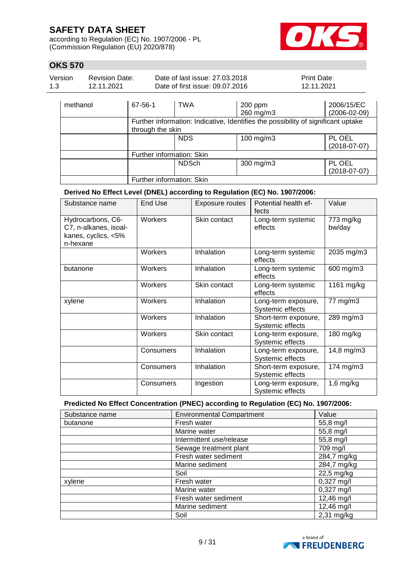according to Regulation (EC) No. 1907/2006 - PL (Commission Regulation (EU) 2020/878)



 $\overline{\phantom{a}}$ 

# **OKS 570**

| Version  | <b>Revision Date:</b> | Date of last issue: 27.03.2018  |         | <b>Print Date:</b> |
|----------|-----------------------|---------------------------------|---------|--------------------|
| 1.3      | 12.11.2021            | Date of first issue: 09.07.2016 |         | 12.11.2021         |
| methanol |                       | <b>TWA</b><br>67-56-1           | 200 ppm | 2006/15/EC         |

|                           |              | 260 mg/m3                                                                         | $(2006 - 02 - 09)$       |
|---------------------------|--------------|-----------------------------------------------------------------------------------|--------------------------|
|                           |              | Further information: Indicative, Identifies the possibility of significant uptake |                          |
| through the skin          |              |                                                                                   |                          |
|                           | <b>NDS</b>   | 100 mg/m3                                                                         | PL OEL<br>$(2018-07-07)$ |
| Further information: Skin |              |                                                                                   |                          |
|                           | <b>NDSch</b> | $300$ mg/m $3$                                                                    | PL OEL<br>$(2018-07-07)$ |
| Further information: Skin |              |                                                                                   |                          |

### **Derived No Effect Level (DNEL) according to Regulation (EC) No. 1907/2006:**

| Substance name                                                                | End Use   | Exposure routes | Potential health ef-<br>fects            | Value               |
|-------------------------------------------------------------------------------|-----------|-----------------|------------------------------------------|---------------------|
| Hydrocarbons, C6-<br>C7, n-alkanes, isoal-<br>kanes, cyclics, <5%<br>n-hexane | Workers   | Skin contact    | Long-term systemic<br>effects            | 773 mg/kg<br>bw/day |
|                                                                               | Workers   | Inhalation      | Long-term systemic<br>effects            | 2035 mg/m3          |
| butanone                                                                      | Workers   | Inhalation      | Long-term systemic<br>effects            | 600 mg/m3           |
|                                                                               | Workers   | Skin contact    | Long-term systemic<br>effects            | 1161 mg/kg          |
| xylene                                                                        | Workers   | Inhalation      | Long-term exposure,<br>Systemic effects  | 77 mg/m3            |
|                                                                               | Workers   | Inhalation      | Short-term exposure,<br>Systemic effects | 289 mg/m3           |
|                                                                               | Workers   | Skin contact    | Long-term exposure,<br>Systemic effects  | 180 mg/kg           |
|                                                                               | Consumers | Inhalation      | Long-term exposure,<br>Systemic effects  | 14,8 mg/m3          |
|                                                                               | Consumers | Inhalation      | Short-term exposure,<br>Systemic effects | 174 mg/m3           |
|                                                                               | Consumers | Ingestion       | Long-term exposure,<br>Systemic effects  | $1,6$ mg/kg         |

### **Predicted No Effect Concentration (PNEC) according to Regulation (EC) No. 1907/2006:**

| Substance name | <b>Environmental Compartment</b> | Value        |
|----------------|----------------------------------|--------------|
| butanone       | Fresh water                      | 55,8 mg/l    |
|                | Marine water                     | 55,8 mg/l    |
|                | Intermittent use/release         | 55,8 mg/l    |
|                | Sewage treatment plant           | 709 mg/l     |
|                | Fresh water sediment             | 284,7 mg/kg  |
|                | Marine sediment                  | 284,7 mg/kg  |
|                | Soil                             | 22,5 mg/kg   |
| xylene         | Fresh water                      | $0,327$ mg/l |
|                | Marine water                     | $0,327$ mg/l |
|                | Fresh water sediment             | 12,46 mg/l   |
|                | Marine sediment                  | 12,46 mg/l   |
|                | Soil                             | $2,31$ mg/kg |

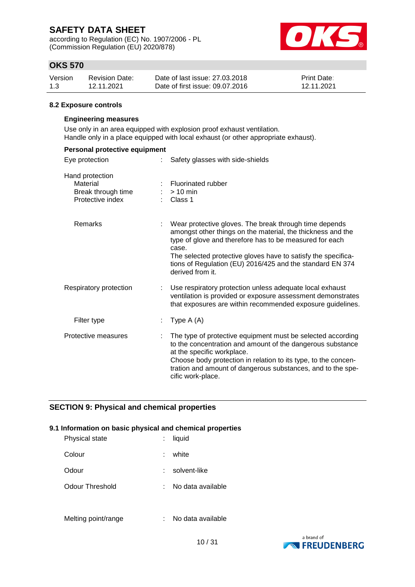according to Regulation (EC) No. 1907/2006 - PL (Commission Regulation (EU) 2020/878)



# **OKS 570**

| Version | <b>Revision Date:</b> | Date of last issue: 27,03,2018  | <b>Print Date:</b> |
|---------|-----------------------|---------------------------------|--------------------|
| 1.3     | 12.11.2021            | Date of first issue: 09.07.2016 | 12.11.2021         |

### **8.2 Exposure controls**

### **Engineering measures**

Use only in an area equipped with explosion proof exhaust ventilation. Handle only in a place equipped with local exhaust (or other appropriate exhaust).

| Personal protective equipment                                         |                                                                                                                                                                                                                                                                                                                                             |
|-----------------------------------------------------------------------|---------------------------------------------------------------------------------------------------------------------------------------------------------------------------------------------------------------------------------------------------------------------------------------------------------------------------------------------|
| Eye protection<br>t.                                                  | Safety glasses with side-shields                                                                                                                                                                                                                                                                                                            |
| Hand protection<br>Material<br>Break through time<br>Protective index | Fluorinated rubber<br>$> 10$ min<br>Class 1                                                                                                                                                                                                                                                                                                 |
| <b>Remarks</b>                                                        | Wear protective gloves. The break through time depends<br>amongst other things on the material, the thickness and the<br>type of glove and therefore has to be measured for each<br>case.<br>The selected protective gloves have to satisfy the specifica-<br>tions of Regulation (EU) 2016/425 and the standard EN 374<br>derived from it. |
| Respiratory protection                                                | : Use respiratory protection unless adequate local exhaust<br>ventilation is provided or exposure assessment demonstrates<br>that exposures are within recommended exposure guidelines.                                                                                                                                                     |
| Filter type                                                           | Type $A(A)$                                                                                                                                                                                                                                                                                                                                 |
| Protective measures                                                   | The type of protective equipment must be selected according<br>to the concentration and amount of the dangerous substance<br>at the specific workplace.<br>Choose body protection in relation to its type, to the concen-<br>tration and amount of dangerous substances, and to the spe-<br>cific work-place.                               |

### **SECTION 9: Physical and chemical properties**

### **9.1 Information on basic physical and chemical properties**

| Physical state  |    | liquid            |
|-----------------|----|-------------------|
| Colour          | t. | white             |
| Odour           |    | solvent-like      |
| Odour Threshold |    | No data available |
|                 |    |                   |

Melting point/range : No data available

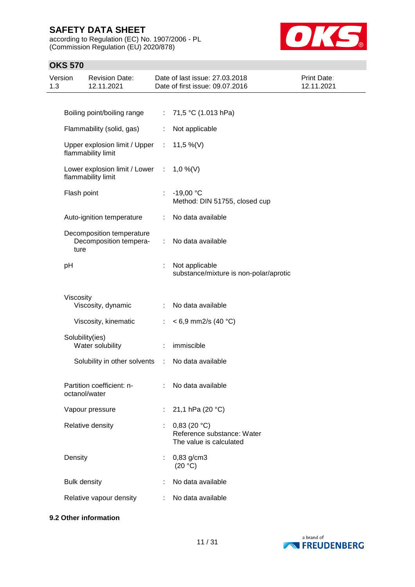according to Regulation (EC) No. 1907/2006 - PL (Commission Regulation (EU) 2020/878)



# **OKS 570**

| Version<br>1.3 |                     | <b>Revision Date:</b><br>12.11.2021                             |                | Date of last issue: 27.03.2018<br>Date of first issue: 09.07.2016    | <b>Print Date:</b><br>12.11.2021 |
|----------------|---------------------|-----------------------------------------------------------------|----------------|----------------------------------------------------------------------|----------------------------------|
|                |                     |                                                                 |                |                                                                      |                                  |
|                |                     | Boiling point/boiling range                                     |                | : 71,5 °C (1.013 hPa)                                                |                                  |
|                |                     | Flammability (solid, gas)                                       | ÷.             | Not applicable                                                       |                                  |
|                |                     | Upper explosion limit / Upper : 11,5 %(V)<br>flammability limit |                |                                                                      |                                  |
|                |                     | Lower explosion limit / Lower : 1,0 %(V)<br>flammability limit  |                |                                                                      |                                  |
|                | Flash point         |                                                                 |                | $-19,00 °C$<br>Method: DIN 51755, closed cup                         |                                  |
|                |                     | Auto-ignition temperature                                       |                | : No data available                                                  |                                  |
|                | ture                | Decomposition temperature<br>Decomposition tempera-             | ÷.             | No data available                                                    |                                  |
|                | pH                  |                                                                 |                | Not applicable<br>substance/mixture is non-polar/aprotic             |                                  |
|                | Viscosity           |                                                                 |                |                                                                      |                                  |
|                |                     | Viscosity, dynamic                                              |                | : No data available                                                  |                                  |
|                |                     | Viscosity, kinematic                                            | ÷              | $< 6.9$ mm2/s (40 °C)                                                |                                  |
|                |                     | Solubility(ies)<br>Water solubility                             | $\mathbb{Z}^n$ | immiscible                                                           |                                  |
|                |                     | Solubility in other solvents :                                  |                | No data available                                                    |                                  |
|                |                     | Partition coefficient: n-<br>octanol/water                      |                | : No data available                                                  |                                  |
|                |                     | Vapour pressure                                                 |                | : 21,1 hPa (20 $^{\circ}$ C)                                         |                                  |
|                |                     | Relative density                                                |                | 0,83(20 °C)<br>Reference substance: Water<br>The value is calculated |                                  |
|                | Density             |                                                                 | ÷              | 0,83 g/cm3<br>(20 °C)                                                |                                  |
|                | <b>Bulk density</b> |                                                                 |                | No data available                                                    |                                  |
|                |                     | Relative vapour density                                         |                | : No data available                                                  |                                  |

### **9.2 Other information**

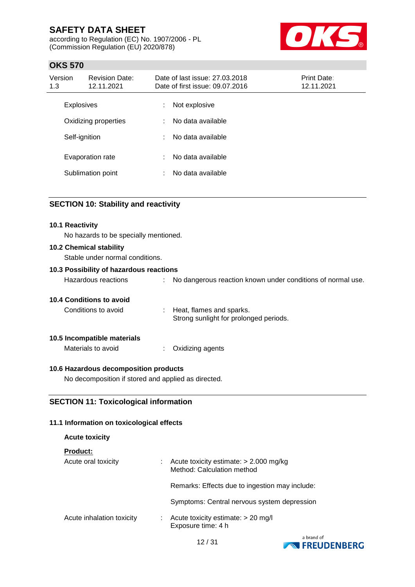according to Regulation (EC) No. 1907/2006 - PL (Commission Regulation (EU) 2020/878)



# **OKS 570**

| Version<br>1.3 | <b>Revision Date:</b><br>12.11.2021 |    | Date of last issue: 27,03,2018<br>Date of first issue: 09.07.2016 | <b>Print Date:</b><br>12.11.2021 |
|----------------|-------------------------------------|----|-------------------------------------------------------------------|----------------------------------|
|                | <b>Explosives</b>                   | ÷  | Not explosive                                                     |                                  |
|                | Oxidizing properties                |    | No data available                                                 |                                  |
|                | Self-ignition                       | ÷. | No data available                                                 |                                  |
|                | Evaporation rate                    | ÷. | No data available                                                 |                                  |
|                | Sublimation point                   | ÷  | No data available                                                 |                                  |

### **SECTION 10: Stability and reactivity**

### **10.1 Reactivity**

No hazards to be specially mentioned.

### **10.2 Chemical stability**

Stable under normal conditions.

### **10.3 Possibility of hazardous reactions**

| Hazardous reactions |  | No dangerous reaction known under conditions of normal use. |
|---------------------|--|-------------------------------------------------------------|
|---------------------|--|-------------------------------------------------------------|

### **10.4 Conditions to avoid**

| Conditions to avoid | Heat, flames and sparks.               |
|---------------------|----------------------------------------|
|                     | Strong sunlight for prolonged periods. |

### **10.5 Incompatible materials**

**Acute toxicity**

Materials to avoid : Oxidizing agents

### **10.6 Hazardous decomposition products**

No decomposition if stored and applied as directed.

### **SECTION 11: Toxicological information**

### **11.1 Information on toxicological effects**

| <b>Product:</b>           |                                                                        |
|---------------------------|------------------------------------------------------------------------|
| Acute oral toxicity       | Acute toxicity estimate: $> 2.000$ mg/kg<br>Method: Calculation method |
|                           | Remarks: Effects due to ingestion may include:                         |
|                           | Symptoms: Central nervous system depression                            |
| Acute inhalation toxicity | Acute toxicity estimate: $> 20$ mg/l<br>Exposure time: 4 h             |

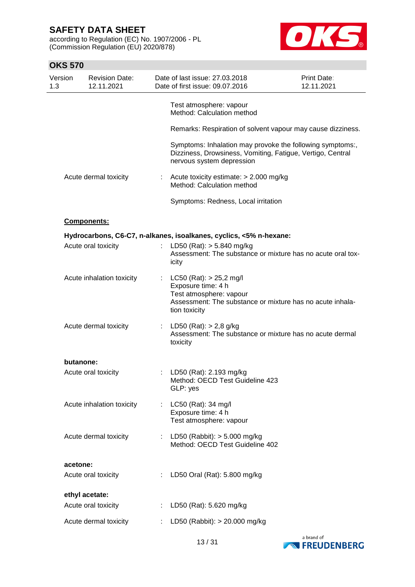according to Regulation (EC) No. 1907/2006 - PL (Commission Regulation (EU) 2020/878)



| Version<br>1.3 |           | <b>Revision Date:</b><br>12.11.2021 |                       | Date of last issue: 27.03.2018<br>Date of first issue: 09.07.2016                                                                                          | Print Date:<br>12.11.2021 |
|----------------|-----------|-------------------------------------|-----------------------|------------------------------------------------------------------------------------------------------------------------------------------------------------|---------------------------|
|                |           |                                     |                       | Test atmosphere: vapour<br>Method: Calculation method                                                                                                      |                           |
|                |           |                                     |                       | Remarks: Respiration of solvent vapour may cause dizziness.                                                                                                |                           |
|                |           |                                     |                       | Symptoms: Inhalation may provoke the following symptoms:,<br>Dizziness, Drowsiness, Vomiting, Fatigue, Vertigo, Central<br>nervous system depression       |                           |
|                |           | Acute dermal toxicity               | $\mathbb{Z}^{\times}$ | Acute toxicity estimate: $> 2.000$ mg/kg<br>Method: Calculation method                                                                                     |                           |
|                |           |                                     |                       | Symptoms: Redness, Local irritation                                                                                                                        |                           |
|                |           | <b>Components:</b>                  |                       |                                                                                                                                                            |                           |
|                |           |                                     |                       | Hydrocarbons, C6-C7, n-alkanes, isoalkanes, cyclics, <5% n-hexane:                                                                                         |                           |
|                |           | Acute oral toxicity                 |                       | : LD50 (Rat): $> 5.840$ mg/kg<br>Assessment: The substance or mixture has no acute oral tox-<br>icity                                                      |                           |
|                |           | Acute inhalation toxicity           |                       | : LC50 (Rat): $> 25,2$ mg/l<br>Exposure time: 4 h<br>Test atmosphere: vapour<br>Assessment: The substance or mixture has no acute inhala-<br>tion toxicity |                           |
|                |           | Acute dermal toxicity               |                       | : LD50 (Rat): $> 2,8$ g/kg<br>Assessment: The substance or mixture has no acute dermal<br>toxicity                                                         |                           |
|                | butanone: |                                     |                       |                                                                                                                                                            |                           |
|                |           | Acute oral toxicity                 |                       | LD50 (Rat): 2.193 mg/kg<br>Method: OECD Test Guideline 423<br>GLP: yes                                                                                     |                           |
|                |           | Acute inhalation toxicity           |                       | LC50 (Rat): 34 mg/l<br>Exposure time: 4 h<br>Test atmosphere: vapour                                                                                       |                           |
|                |           | Acute dermal toxicity               |                       | : LD50 (Rabbit): $> 5.000$ mg/kg<br>Method: OECD Test Guideline 402                                                                                        |                           |
|                | acetone:  |                                     |                       |                                                                                                                                                            |                           |
|                |           | Acute oral toxicity                 |                       | LD50 Oral (Rat): 5.800 mg/kg                                                                                                                               |                           |
|                |           | ethyl acetate:                      |                       |                                                                                                                                                            |                           |
|                |           | Acute oral toxicity                 |                       | LD50 (Rat): 5.620 mg/kg                                                                                                                                    |                           |
|                |           | Acute dermal toxicity               |                       | LD50 (Rabbit): > 20.000 mg/kg                                                                                                                              |                           |

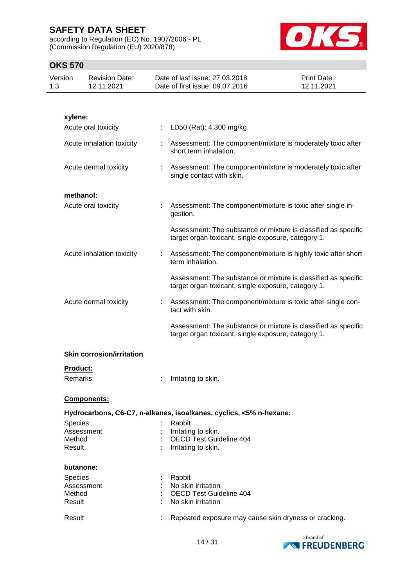according to Regulation (EC) No. 1907/2006 - PL (Commission Regulation (EU) 2020/878)



| Version<br>1.3 | <b>Revision Date:</b><br>12.11.2021 |    | Date of last issue: 27.03.2018<br>Date of first issue: 09.07.2016                                                     | <b>Print Date:</b><br>12.11.2021 |
|----------------|-------------------------------------|----|-----------------------------------------------------------------------------------------------------------------------|----------------------------------|
|                |                                     |    |                                                                                                                       |                                  |
| xylene:        |                                     |    |                                                                                                                       |                                  |
|                | Acute oral toxicity                 |    | LD50 (Rat): 4.300 mg/kg                                                                                               |                                  |
|                |                                     |    |                                                                                                                       |                                  |
|                | Acute inhalation toxicity           |    | Assessment: The component/mixture is moderately toxic after<br>short term inhalation.                                 |                                  |
|                | Acute dermal toxicity               |    | : Assessment: The component/mixture is moderately toxic after<br>single contact with skin.                            |                                  |
|                | methanol:                           |    |                                                                                                                       |                                  |
|                | Acute oral toxicity                 |    | Assessment: The component/mixture is toxic after single in-<br>gestion.                                               |                                  |
|                |                                     |    | Assessment: The substance or mixture is classified as specific<br>target organ toxicant, single exposure, category 1. |                                  |
|                | Acute inhalation toxicity           | t. | Assessment: The component/mixture is highly toxic after short<br>term inhalation.                                     |                                  |
|                |                                     |    | Assessment: The substance or mixture is classified as specific<br>target organ toxicant, single exposure, category 1. |                                  |
|                | Acute dermal toxicity               |    | : Assessment: The component/mixture is toxic after single con-<br>tact with skin.                                     |                                  |
|                |                                     |    | Assessment: The substance or mixture is classified as specific<br>target organ toxicant, single exposure, category 1. |                                  |
|                | <b>Skin corrosion/irritation</b>    |    |                                                                                                                       |                                  |
|                | <b>Product:</b>                     |    |                                                                                                                       |                                  |
|                | Remarks                             |    | Irritating to skin.                                                                                                   |                                  |
|                | <b>Components:</b>                  |    |                                                                                                                       |                                  |
|                |                                     |    | Hydrocarbons, C6-C7, n-alkanes, isoalkanes, cyclics, <5% n-hexane:                                                    |                                  |
| <b>Species</b> |                                     |    | Rabbit                                                                                                                |                                  |
|                | Assessment                          |    | Irritating to skin.                                                                                                   |                                  |
| Method         |                                     |    | : OECD Test Guideline 404<br>: Irritating to skin.                                                                    |                                  |
| Result         |                                     |    |                                                                                                                       |                                  |
|                | butanone:                           |    |                                                                                                                       |                                  |
| <b>Species</b> |                                     |    | Rabbit                                                                                                                |                                  |
|                | Assessment                          |    | : No skin irritation                                                                                                  |                                  |
| Method         |                                     |    | <b>OECD Test Guideline 404</b>                                                                                        |                                  |
| Result         |                                     |    | No skin irritation                                                                                                    |                                  |
| Result         |                                     |    | Repeated exposure may cause skin dryness or cracking.                                                                 |                                  |

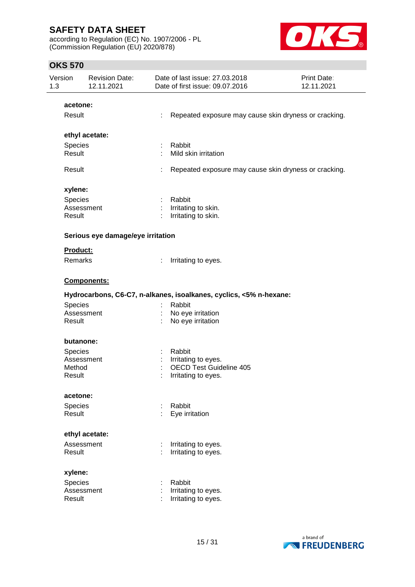according to Regulation (EC) No. 1907/2006 - PL (Commission Regulation (EU) 2020/878)



| Version<br>1.3  | <b>Revision Date:</b><br>12.11.2021 |   | Date of last issue: 27.03.2018<br>Date of first issue: 09.07.2016  | Print Date:<br>12.11.2021 |
|-----------------|-------------------------------------|---|--------------------------------------------------------------------|---------------------------|
| acetone:        |                                     |   |                                                                    |                           |
| Result          |                                     | ÷ | Repeated exposure may cause skin dryness or cracking.              |                           |
|                 | ethyl acetate:                      |   |                                                                    |                           |
| Species         |                                     | ÷ | Rabbit                                                             |                           |
| Result          |                                     |   | Mild skin irritation                                               |                           |
| Result          |                                     | t | Repeated exposure may cause skin dryness or cracking.              |                           |
| xylene:         |                                     |   |                                                                    |                           |
| Species         |                                     |   | Rabbit                                                             |                           |
|                 | Assessment                          |   | Irritating to skin.                                                |                           |
| Result          |                                     |   | Irritating to skin.                                                |                           |
|                 | Serious eye damage/eye irritation   |   |                                                                    |                           |
| <b>Product:</b> |                                     |   |                                                                    |                           |
| Remarks         |                                     |   | Irritating to eyes.                                                |                           |
|                 | Components:                         |   |                                                                    |                           |
|                 |                                     |   | Hydrocarbons, C6-C7, n-alkanes, isoalkanes, cyclics, <5% n-hexane: |                           |
| Species         |                                     |   | Rabbit                                                             |                           |
|                 | Assessment                          |   | No eye irritation                                                  |                           |
| Result          |                                     |   | No eye irritation                                                  |                           |
|                 | butanone:                           |   |                                                                    |                           |
| <b>Species</b>  |                                     |   | Rabbit                                                             |                           |
|                 | Assessment                          |   | Irritating to eyes.                                                |                           |
| Method          |                                     |   | <b>OECD Test Guideline 405</b>                                     |                           |
| Result          |                                     |   | Irritating to eyes.                                                |                           |
| acetone:        |                                     |   |                                                                    |                           |
| Species         |                                     |   | Rabbit                                                             |                           |
| Result          |                                     |   | Eye irritation                                                     |                           |
|                 | ethyl acetate:                      |   |                                                                    |                           |
|                 | Assessment                          |   | Irritating to eyes.                                                |                           |
| Result          |                                     |   | Irritating to eyes.                                                |                           |
| xylene:         |                                     |   |                                                                    |                           |
| Species         |                                     |   | Rabbit                                                             |                           |
|                 | Assessment                          |   | Irritating to eyes.                                                |                           |
| Result          |                                     |   | Irritating to eyes.                                                |                           |
|                 |                                     |   |                                                                    |                           |

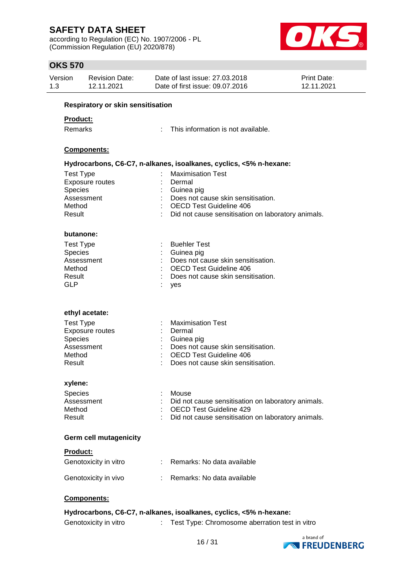according to Regulation (EC) No. 1907/2006 - PL (Commission Regulation (EU) 2020/878)



# **OKS 570**

| Version              | <b>Revision Date:</b><br>12.11.2021 | Date of last issue: 27,03,2018<br>Date of first issue: 09.07.2016                    | Print Date:<br>12.11.2021 |
|----------------------|-------------------------------------|--------------------------------------------------------------------------------------|---------------------------|
|                      | Respiratory or skin sensitisation   |                                                                                      |                           |
| <b>Product:</b>      |                                     |                                                                                      |                           |
| Remarks              |                                     | This information is not available.                                                   |                           |
|                      |                                     |                                                                                      |                           |
|                      | Components:                         |                                                                                      |                           |
|                      |                                     | Hydrocarbons, C6-C7, n-alkanes, isoalkanes, cyclics, <5% n-hexane:                   |                           |
| <b>Test Type</b>     |                                     | <b>Maximisation Test</b>                                                             |                           |
|                      | <b>Exposure routes</b>              | Dermal                                                                               |                           |
| Species              |                                     | Guinea pig                                                                           |                           |
|                      | Assessment                          | Does not cause skin sensitisation.                                                   |                           |
| Method<br>Result     |                                     | <b>OECD Test Guideline 406</b><br>Did not cause sensitisation on laboratory animals. |                           |
|                      |                                     |                                                                                      |                           |
| butanone:            |                                     |                                                                                      |                           |
| <b>Test Type</b>     |                                     | <b>Buehler Test</b>                                                                  |                           |
| Species              |                                     | Guinea pig                                                                           |                           |
|                      | Assessment                          | Does not cause skin sensitisation.                                                   |                           |
| Method               |                                     | <b>OECD Test Guideline 406</b>                                                       |                           |
| Result<br><b>GLP</b> |                                     | Does not cause skin sensitisation.<br>yes                                            |                           |
|                      |                                     |                                                                                      |                           |
|                      | ethyl acetate:                      |                                                                                      |                           |
| <b>Test Type</b>     |                                     | <b>Maximisation Test</b>                                                             |                           |
|                      | <b>Exposure routes</b>              | Dermal                                                                               |                           |
| <b>Species</b>       | Assessment                          | Guinea pig<br>Does not cause skin sensitisation.                                     |                           |
| Method               |                                     | <b>OECD Test Guideline 406</b>                                                       |                           |
| Result               |                                     | Does not cause skin sensitisation.                                                   |                           |
| xylene:              |                                     |                                                                                      |                           |
| <b>Species</b>       |                                     | Mouse                                                                                |                           |
|                      | Assessment                          | Did not cause sensitisation on laboratory animals.                                   |                           |
| Method               |                                     | <b>OECD Test Guideline 429</b>                                                       |                           |
| Result               |                                     | Did not cause sensitisation on laboratory animals.                                   |                           |
|                      | <b>Germ cell mutagenicity</b>       |                                                                                      |                           |
| Product:             |                                     |                                                                                      |                           |
|                      | Genotoxicity in vitro               | Remarks: No data available                                                           |                           |
|                      | Genotoxicity in vivo                | Remarks: No data available                                                           |                           |
|                      | Components:                         |                                                                                      |                           |
|                      |                                     | Hydrocarbons, C6-C7, n-alkanes, isoalkanes, cyclics, <5% n-hexane:                   |                           |

Genotoxicity in vitro : Test Type: Chromosome aberration test in vitro

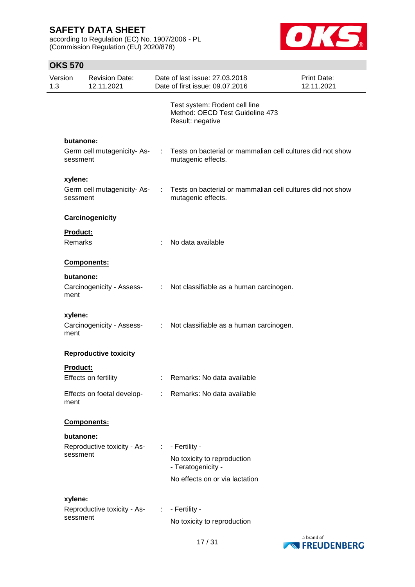according to Regulation (EC) No. 1907/2006 - PL (Commission Regulation (EU) 2020/878)



| Version<br>1.3 |                 | <b>Revision Date:</b><br>12.11.2021 |                | Date of last issue: 27.03.2018<br>Date of first issue: 09.07.2016                    | Print Date:<br>12.11.2021 |
|----------------|-----------------|-------------------------------------|----------------|--------------------------------------------------------------------------------------|---------------------------|
|                |                 |                                     |                | Test system: Rodent cell line<br>Method: OECD Test Guideline 473<br>Result: negative |                           |
|                | butanone:       |                                     |                |                                                                                      |                           |
|                | sessment        | Germ cell mutagenicity-As-          |                | Tests on bacterial or mammalian cell cultures did not show<br>mutagenic effects.     |                           |
|                | xylene:         |                                     |                |                                                                                      |                           |
|                | sessment        | Germ cell mutagenicity-As-          | ÷.             | Tests on bacterial or mammalian cell cultures did not show<br>mutagenic effects.     |                           |
|                |                 | Carcinogenicity                     |                |                                                                                      |                           |
|                | <b>Product:</b> |                                     |                |                                                                                      |                           |
|                | <b>Remarks</b>  |                                     |                | No data available                                                                    |                           |
|                |                 | Components:                         |                |                                                                                      |                           |
|                | butanone:       |                                     |                |                                                                                      |                           |
|                | ment            | Carcinogenicity - Assess-           | ÷.             | Not classifiable as a human carcinogen.                                              |                           |
|                | xylene:         |                                     |                |                                                                                      |                           |
|                | ment            | Carcinogenicity - Assess-           | $\mathbb{R}^n$ | Not classifiable as a human carcinogen.                                              |                           |
|                |                 | <b>Reproductive toxicity</b>        |                |                                                                                      |                           |
|                | <b>Product:</b> |                                     |                |                                                                                      |                           |
|                |                 | Effects on fertility                | ÷.             | Remarks: No data available                                                           |                           |
|                | ment            |                                     |                | Effects on foetal develop- : Remarks: No data available                              |                           |
|                |                 | Components:                         |                |                                                                                      |                           |
|                | butanone:       |                                     |                |                                                                                      |                           |
|                |                 | Reproductive toxicity - As-         | ÷.             | - Fertility -                                                                        |                           |
| sessment       |                 |                                     |                | No toxicity to reproduction<br>- Teratogenicity -                                    |                           |
|                |                 |                                     |                | No effects on or via lactation                                                       |                           |
|                | xylene:         |                                     |                |                                                                                      |                           |
|                |                 | Reproductive toxicity - As- :       |                | - Fertility -                                                                        |                           |
|                | sessment        |                                     |                | No toxicity to reproduction                                                          |                           |

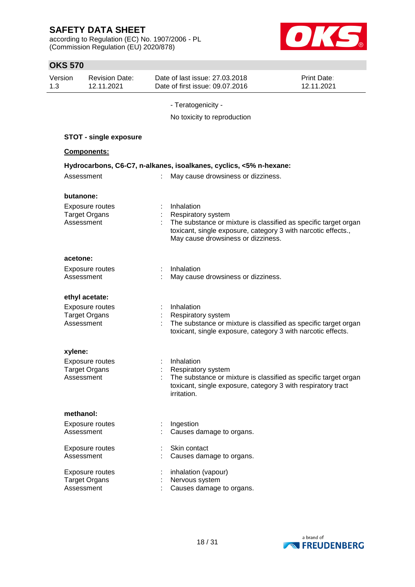according to Regulation (EC) No. 1907/2006 - PL (Commission Regulation (EU) 2020/878)



| <b>OKS 570</b>                                               |                                                                                                                                                                                                            |                                  |
|--------------------------------------------------------------|------------------------------------------------------------------------------------------------------------------------------------------------------------------------------------------------------------|----------------------------------|
| Version<br><b>Revision Date:</b><br>12.11.2021<br>1.3        | Date of last issue: 27.03.2018<br>Date of first issue: 09.07.2016                                                                                                                                          | <b>Print Date:</b><br>12.11.2021 |
|                                                              | - Teratogenicity -                                                                                                                                                                                         |                                  |
|                                                              | No toxicity to reproduction                                                                                                                                                                                |                                  |
| <b>STOT - single exposure</b>                                |                                                                                                                                                                                                            |                                  |
| Components:                                                  |                                                                                                                                                                                                            |                                  |
|                                                              | Hydrocarbons, C6-C7, n-alkanes, isoalkanes, cyclics, <5% n-hexane:                                                                                                                                         |                                  |
| Assessment                                                   | May cause drowsiness or dizziness.<br>÷.                                                                                                                                                                   |                                  |
| butanone:                                                    |                                                                                                                                                                                                            |                                  |
| <b>Exposure routes</b><br><b>Target Organs</b><br>Assessment | Inhalation<br>Respiratory system<br>The substance or mixture is classified as specific target organ<br>toxicant, single exposure, category 3 with narcotic effects.,<br>May cause drowsiness or dizziness. |                                  |
| acetone:                                                     |                                                                                                                                                                                                            |                                  |
| <b>Exposure routes</b><br>Assessment                         | Inhalation<br>May cause drowsiness or dizziness.                                                                                                                                                           |                                  |
| ethyl acetate:                                               |                                                                                                                                                                                                            |                                  |
| Exposure routes<br><b>Target Organs</b><br>Assessment        | Inhalation<br>Respiratory system<br>The substance or mixture is classified as specific target organ<br>toxicant, single exposure, category 3 with narcotic effects.                                        |                                  |
| xylene:                                                      |                                                                                                                                                                                                            |                                  |
| <b>Exposure routes</b><br><b>Target Organs</b><br>Assessment | Inhalation<br>Respiratory system<br>The substance or mixture is classified as specific target organ<br>toxicant, single exposure, category 3 with respiratory tract<br>irritation.                         |                                  |
| methanol:                                                    |                                                                                                                                                                                                            |                                  |
| <b>Exposure routes</b><br>Assessment                         | Ingestion<br>Causes damage to organs.                                                                                                                                                                      |                                  |
| Exposure routes<br>Assessment                                | Skin contact<br>Causes damage to organs.                                                                                                                                                                   |                                  |
| Exposure routes<br><b>Target Organs</b><br>Assessment        | inhalation (vapour)<br>Nervous system<br>Causes damage to organs.                                                                                                                                          |                                  |

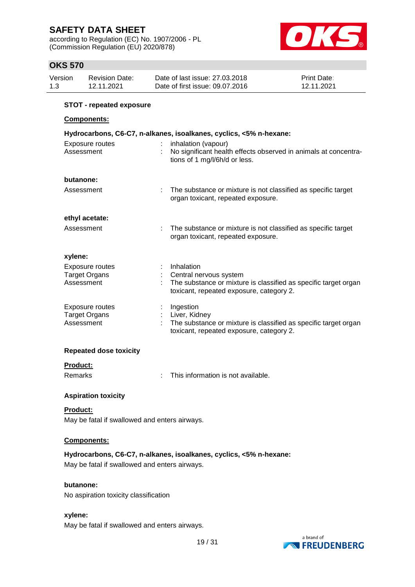according to Regulation (EC) No. 1907/2006 - PL (Commission Regulation (EU) 2020/878)



# **OKS 570**

| Version<br>Date of last issue: 27,03,2018<br><b>Print Date:</b><br><b>Revision Date:</b><br>Date of first issue: 09.07.2016<br>1.3<br>12.11.2021<br>12.11.2021 |  |
|----------------------------------------------------------------------------------------------------------------------------------------------------------------|--|
|----------------------------------------------------------------------------------------------------------------------------------------------------------------|--|

### **STOT - repeated exposure**

### **Components:**

| Hydrocarbons, C6-C7, n-alkanes, isoalkanes, cyclics, <5% n-hexane: |                             |                                                                                                                                                       |  |  |
|--------------------------------------------------------------------|-----------------------------|-------------------------------------------------------------------------------------------------------------------------------------------------------|--|--|
| Exposure routes<br>Assessment                                      | $\mathcal{L}^{\mathcal{L}}$ | inhalation (vapour)<br>No significant health effects observed in animals at concentra-<br>tions of 1 mg/l/6h/d or less.                               |  |  |
| butanone:                                                          |                             |                                                                                                                                                       |  |  |
| Assessment                                                         |                             | The substance or mixture is not classified as specific target<br>organ toxicant, repeated exposure.                                                   |  |  |
| ethyl acetate:                                                     |                             |                                                                                                                                                       |  |  |
| Assessment                                                         |                             | The substance or mixture is not classified as specific target<br>organ toxicant, repeated exposure.                                                   |  |  |
| xylene:                                                            |                             |                                                                                                                                                       |  |  |
| Exposure routes<br><b>Target Organs</b><br>Assessment              |                             | : Inhalation<br>Central nervous system<br>The substance or mixture is classified as specific target organ<br>toxicant, repeated exposure, category 2. |  |  |
| Exposure routes<br><b>Target Organs</b><br>Assessment              |                             | $:$ Ingestion<br>: Liver, Kidney<br>The substance or mixture is classified as specific target organ<br>toxicant, repeated exposure, category 2.       |  |  |

### **Repeated dose toxicity**

### **Product:**

Remarks : This information is not available.

### **Aspiration toxicity**

### **Product:**

May be fatal if swallowed and enters airways.

### **Components:**

**Hydrocarbons, C6-C7, n-alkanes, isoalkanes, cyclics, <5% n-hexane:**

May be fatal if swallowed and enters airways.

### **butanone:**

No aspiration toxicity classification

### **xylene:**

May be fatal if swallowed and enters airways.

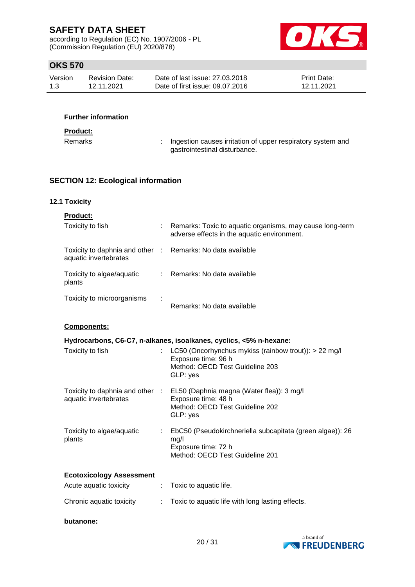according to Regulation (EC) No. 1907/2006 - PL (Commission Regulation (EU) 2020/878)



## **OKS 570**

| Version | Revision Date: | Date of last issue: 27,03,2018  | <b>Print Date:</b> |
|---------|----------------|---------------------------------|--------------------|
| 1.3     | 12.11.2021     | Date of first issue: 09.07.2016 | 12.11.2021         |

### **Further information**

### **Product:**

Remarks : Ingestion causes irritation of upper respiratory system and gastrointestinal disturbance.

### **SECTION 12: Ecological information**

### **12.1 Toxicity**

| <b>Product:</b>                                                                     |    |                                                                                                                                                 |
|-------------------------------------------------------------------------------------|----|-------------------------------------------------------------------------------------------------------------------------------------------------|
| Toxicity to fish                                                                    |    | Remarks: Toxic to aquatic organisms, may cause long-term<br>adverse effects in the aquatic environment.                                         |
| Toxicity to daphnia and other : Remarks: No data available<br>aquatic invertebrates |    |                                                                                                                                                 |
| Toxicity to algae/aquatic<br>plants                                                 |    | : Remarks: No data available                                                                                                                    |
| Toxicity to microorganisms                                                          |    | Remarks: No data available                                                                                                                      |
| Components:                                                                         |    |                                                                                                                                                 |
|                                                                                     |    | Hydrocarbons, C6-C7, n-alkanes, isoalkanes, cyclics, <5% n-hexane:                                                                              |
| Toxicity to fish                                                                    | t. | LC50 (Oncorhynchus mykiss (rainbow trout)): > 22 mg/l<br>Exposure time: 96 h<br>Method: OECD Test Guideline 203<br>GLP: yes                     |
| aquatic invertebrates                                                               |    | Toxicity to daphnia and other : EL50 (Daphnia magna (Water flea)): 3 mg/l<br>Exposure time: 48 h<br>Method: OECD Test Guideline 202<br>GLP: yes |
| Toxicity to algae/aquatic<br>plants                                                 |    | EbC50 (Pseudokirchneriella subcapitata (green algae)): 26<br>mg/l<br>Exposure time: 72 h<br>Method: OECD Test Guideline 201                     |
| <b>Ecotoxicology Assessment</b>                                                     |    |                                                                                                                                                 |
| Acute aquatic toxicity                                                              | ÷  | Toxic to aquatic life.                                                                                                                          |
| Chronic aquatic toxicity                                                            |    | Toxic to aquatic life with long lasting effects.                                                                                                |
| butanone:                                                                           |    |                                                                                                                                                 |

a brand of **NATIONAL PREUDENBERG**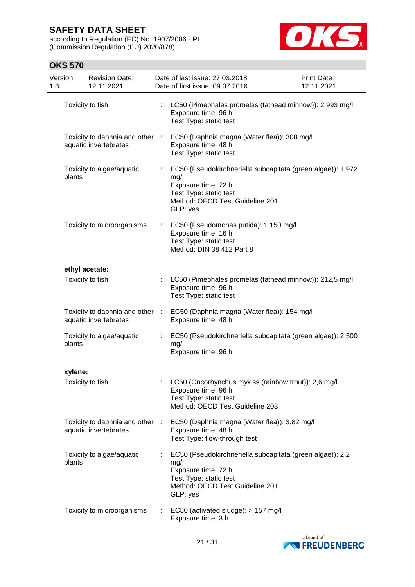according to Regulation (EC) No. 1907/2006 - PL (Commission Regulation (EU) 2020/878)



| Version<br>1.3 |         | <b>Revision Date:</b><br>12.11.2021                      |                           | Date of last issue: 27.03.2018<br>Date of first issue: 09.07.2016                                                                                                   | Print Date:<br>12.11.2021 |
|----------------|---------|----------------------------------------------------------|---------------------------|---------------------------------------------------------------------------------------------------------------------------------------------------------------------|---------------------------|
|                |         | Toxicity to fish                                         |                           | LC50 (Pimephales promelas (fathead minnow)): 2.993 mg/l<br>Exposure time: 96 h<br>Test Type: static test                                                            |                           |
|                |         | Toxicity to daphnia and other :<br>aquatic invertebrates |                           | EC50 (Daphnia magna (Water flea)): 308 mg/l<br>Exposure time: 48 h<br>Test Type: static test                                                                        |                           |
|                | plants  | Toxicity to algae/aquatic                                |                           | EC50 (Pseudokirchneriella subcapitata (green algae)): 1.972<br>mg/l<br>Exposure time: 72 h<br>Test Type: static test<br>Method: OECD Test Guideline 201<br>GLP: yes |                           |
|                |         | Toxicity to microorganisms                               | ÷.                        | EC50 (Pseudomonas putida): 1.150 mg/l<br>Exposure time: 16 h<br>Test Type: static test<br>Method: DIN 38 412 Part 8                                                 |                           |
|                |         | ethyl acetate:                                           |                           |                                                                                                                                                                     |                           |
|                |         | Toxicity to fish                                         | $\mathbb{R}^{\mathbb{Z}}$ | LC50 (Pimephales promelas (fathead minnow)): 212,5 mg/l<br>Exposure time: 96 h<br>Test Type: static test                                                            |                           |
|                |         | Toxicity to daphnia and other :<br>aquatic invertebrates |                           | EC50 (Daphnia magna (Water flea)): 154 mg/l<br>Exposure time: 48 h                                                                                                  |                           |
|                | plants  | Toxicity to algae/aquatic                                |                           | EC50 (Pseudokirchneriella subcapitata (green algae)): 2.500<br>mg/l<br>Exposure time: 96 h                                                                          |                           |
|                | xylene: |                                                          |                           |                                                                                                                                                                     |                           |
|                |         | Toxicity to fish                                         |                           | LC50 (Oncorhynchus mykiss (rainbow trout)): 2,6 mg/l<br>Exposure time: 96 h<br>Test Type: static test<br>Method: OECD Test Guideline 203                            |                           |
|                |         | Toxicity to daphnia and other :<br>aquatic invertebrates |                           | EC50 (Daphnia magna (Water flea)): 3,82 mg/l<br>Exposure time: 48 h<br>Test Type: flow-through test                                                                 |                           |
|                | plants  | Toxicity to algae/aquatic                                |                           | EC50 (Pseudokirchneriella subcapitata (green algae)): 2,2<br>mg/l<br>Exposure time: 72 h<br>Test Type: static test<br>Method: OECD Test Guideline 201<br>GLP: yes   |                           |
|                |         | Toxicity to microorganisms                               |                           | EC50 (activated sludge): > 157 mg/l<br>Exposure time: 3 h                                                                                                           |                           |

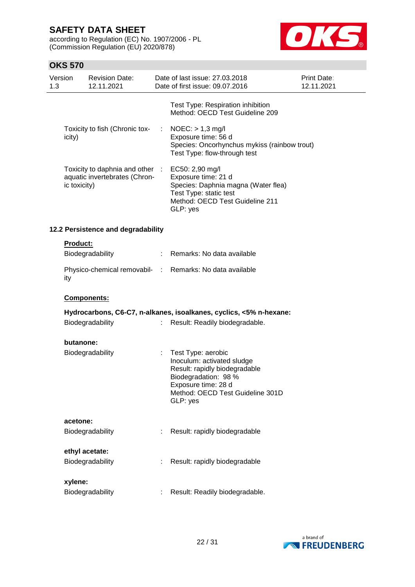according to Regulation (EC) No. 1907/2006 - PL (Commission Regulation (EU) 2020/878)



| Test Type: Respiration inhibition<br>Method: OECD Test Guideline 209<br>Toxicity to fish (Chronic tox-<br>$NOEC:$ > 1,3 mg/l<br>÷<br>Exposure time: 56 d<br>icity)<br>Species: Oncorhynchus mykiss (rainbow trout)<br>Test Type: flow-through test<br>Toxicity to daphnia and other :<br>EC50: 2,90 mg/l<br>Exposure time: 21 d<br>aquatic invertebrates (Chron-<br>Species: Daphnia magna (Water flea)<br>ic toxicity)<br>Test Type: static test<br>Method: OECD Test Guideline 211<br>GLP: yes<br>12.2 Persistence and degradability<br>Product:<br>Biodegradability<br>: Remarks: No data available<br>Physico-chemical removabil- : Remarks: No data available<br>ity<br><b>Components:</b><br>Hydrocarbons, C6-C7, n-alkanes, isoalkanes, cyclics, <5% n-hexane:<br>Biodegradability<br>Result: Readily biodegradable.<br>$\mathbb{R}^{\mathbb{Z}}$<br>butanone:<br>Biodegradability<br>Test Type: aerobic<br>÷<br>Inoculum: activated sludge<br>Result: rapidly biodegradable<br>Biodegradation: 98 %<br>Exposure time: 28 d<br>Method: OECD Test Guideline 301D<br>GLP: yes<br>acetone:<br>Result: rapidly biodegradable<br>Biodegradability<br>ethyl acetate:<br>Biodegradability<br>Result: rapidly biodegradable<br>xylene:<br>Biodegradability<br>Result: Readily biodegradable. | Version<br>1.3 | <b>Revision Date:</b><br>12.11.2021 | Date of last issue: 27.03.2018<br>Date of first issue: 09.07.2016 | <b>Print Date:</b><br>12.11.2021 |
|---------------------------------------------------------------------------------------------------------------------------------------------------------------------------------------------------------------------------------------------------------------------------------------------------------------------------------------------------------------------------------------------------------------------------------------------------------------------------------------------------------------------------------------------------------------------------------------------------------------------------------------------------------------------------------------------------------------------------------------------------------------------------------------------------------------------------------------------------------------------------------------------------------------------------------------------------------------------------------------------------------------------------------------------------------------------------------------------------------------------------------------------------------------------------------------------------------------------------------------------------------------------------------------------|----------------|-------------------------------------|-------------------------------------------------------------------|----------------------------------|
|                                                                                                                                                                                                                                                                                                                                                                                                                                                                                                                                                                                                                                                                                                                                                                                                                                                                                                                                                                                                                                                                                                                                                                                                                                                                                             |                |                                     |                                                                   |                                  |
|                                                                                                                                                                                                                                                                                                                                                                                                                                                                                                                                                                                                                                                                                                                                                                                                                                                                                                                                                                                                                                                                                                                                                                                                                                                                                             |                |                                     |                                                                   |                                  |
|                                                                                                                                                                                                                                                                                                                                                                                                                                                                                                                                                                                                                                                                                                                                                                                                                                                                                                                                                                                                                                                                                                                                                                                                                                                                                             |                |                                     |                                                                   |                                  |
|                                                                                                                                                                                                                                                                                                                                                                                                                                                                                                                                                                                                                                                                                                                                                                                                                                                                                                                                                                                                                                                                                                                                                                                                                                                                                             |                |                                     |                                                                   |                                  |
|                                                                                                                                                                                                                                                                                                                                                                                                                                                                                                                                                                                                                                                                                                                                                                                                                                                                                                                                                                                                                                                                                                                                                                                                                                                                                             |                |                                     |                                                                   |                                  |
|                                                                                                                                                                                                                                                                                                                                                                                                                                                                                                                                                                                                                                                                                                                                                                                                                                                                                                                                                                                                                                                                                                                                                                                                                                                                                             |                |                                     |                                                                   |                                  |
|                                                                                                                                                                                                                                                                                                                                                                                                                                                                                                                                                                                                                                                                                                                                                                                                                                                                                                                                                                                                                                                                                                                                                                                                                                                                                             |                |                                     |                                                                   |                                  |
|                                                                                                                                                                                                                                                                                                                                                                                                                                                                                                                                                                                                                                                                                                                                                                                                                                                                                                                                                                                                                                                                                                                                                                                                                                                                                             |                |                                     |                                                                   |                                  |
|                                                                                                                                                                                                                                                                                                                                                                                                                                                                                                                                                                                                                                                                                                                                                                                                                                                                                                                                                                                                                                                                                                                                                                                                                                                                                             |                |                                     |                                                                   |                                  |
|                                                                                                                                                                                                                                                                                                                                                                                                                                                                                                                                                                                                                                                                                                                                                                                                                                                                                                                                                                                                                                                                                                                                                                                                                                                                                             |                |                                     |                                                                   |                                  |
|                                                                                                                                                                                                                                                                                                                                                                                                                                                                                                                                                                                                                                                                                                                                                                                                                                                                                                                                                                                                                                                                                                                                                                                                                                                                                             |                |                                     |                                                                   |                                  |
|                                                                                                                                                                                                                                                                                                                                                                                                                                                                                                                                                                                                                                                                                                                                                                                                                                                                                                                                                                                                                                                                                                                                                                                                                                                                                             |                |                                     |                                                                   |                                  |
|                                                                                                                                                                                                                                                                                                                                                                                                                                                                                                                                                                                                                                                                                                                                                                                                                                                                                                                                                                                                                                                                                                                                                                                                                                                                                             |                |                                     |                                                                   |                                  |
|                                                                                                                                                                                                                                                                                                                                                                                                                                                                                                                                                                                                                                                                                                                                                                                                                                                                                                                                                                                                                                                                                                                                                                                                                                                                                             |                |                                     |                                                                   |                                  |
|                                                                                                                                                                                                                                                                                                                                                                                                                                                                                                                                                                                                                                                                                                                                                                                                                                                                                                                                                                                                                                                                                                                                                                                                                                                                                             |                |                                     |                                                                   |                                  |
|                                                                                                                                                                                                                                                                                                                                                                                                                                                                                                                                                                                                                                                                                                                                                                                                                                                                                                                                                                                                                                                                                                                                                                                                                                                                                             |                |                                     |                                                                   |                                  |
|                                                                                                                                                                                                                                                                                                                                                                                                                                                                                                                                                                                                                                                                                                                                                                                                                                                                                                                                                                                                                                                                                                                                                                                                                                                                                             |                |                                     |                                                                   |                                  |
|                                                                                                                                                                                                                                                                                                                                                                                                                                                                                                                                                                                                                                                                                                                                                                                                                                                                                                                                                                                                                                                                                                                                                                                                                                                                                             |                |                                     |                                                                   |                                  |

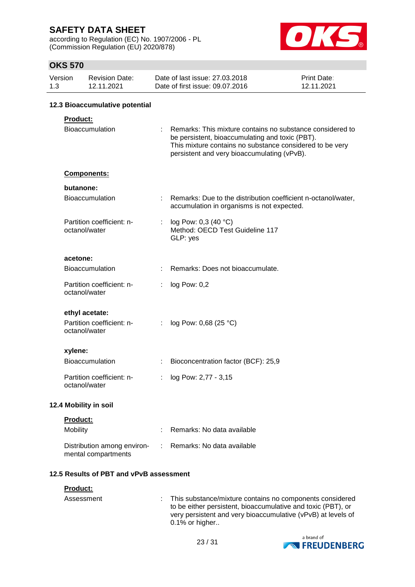according to Regulation (EC) No. 1907/2006 - PL (Commission Regulation (EU) 2020/878)



|     | ט <i>ו</i> ט טוו |                                                    |   |                                                                                                                                                                                                                         |                                  |
|-----|------------------|----------------------------------------------------|---|-------------------------------------------------------------------------------------------------------------------------------------------------------------------------------------------------------------------------|----------------------------------|
| 1.3 | Version          | <b>Revision Date:</b><br>12.11.2021                |   | Date of last issue: 27.03.2018<br>Date of first issue: 09.07.2016                                                                                                                                                       | <b>Print Date:</b><br>12.11.2021 |
|     |                  | 12.3 Bioaccumulative potential                     |   |                                                                                                                                                                                                                         |                                  |
|     | Product:         |                                                    |   |                                                                                                                                                                                                                         |                                  |
|     |                  | Bioaccumulation                                    |   | Remarks: This mixture contains no substance considered to<br>be persistent, bioaccumulating and toxic (PBT).<br>This mixture contains no substance considered to be very<br>persistent and very bioaccumulating (vPvB). |                                  |
|     |                  | Components:                                        |   |                                                                                                                                                                                                                         |                                  |
|     | butanone:        |                                                    |   |                                                                                                                                                                                                                         |                                  |
|     |                  | <b>Bioaccumulation</b>                             |   | Remarks: Due to the distribution coefficient n-octanol/water,<br>accumulation in organisms is not expected.                                                                                                             |                                  |
|     |                  | Partition coefficient: n-<br>octanol/water         | ÷ | log Pow: 0,3 (40 °C)<br>Method: OECD Test Guideline 117<br>GLP: yes                                                                                                                                                     |                                  |
|     | acetone:         |                                                    |   |                                                                                                                                                                                                                         |                                  |
|     |                  | <b>Bioaccumulation</b>                             |   | Remarks: Does not bioaccumulate.                                                                                                                                                                                        |                                  |
|     |                  | Partition coefficient: n-<br>octanol/water         | t | log Pow: 0,2                                                                                                                                                                                                            |                                  |
|     |                  | ethyl acetate:                                     |   |                                                                                                                                                                                                                         |                                  |
|     |                  | Partition coefficient: n-<br>octanol/water         | ÷ | log Pow: 0,68 (25 °C)                                                                                                                                                                                                   |                                  |
|     | xylene:          |                                                    |   |                                                                                                                                                                                                                         |                                  |
|     |                  | Bioaccumulation                                    | t | Bioconcentration factor (BCF): 25,9                                                                                                                                                                                     |                                  |
|     |                  | Partition coefficient: n-<br>octanol/water         |   | log Pow: 2,77 - 3,15                                                                                                                                                                                                    |                                  |
|     |                  | 12.4 Mobility in soil                              |   |                                                                                                                                                                                                                         |                                  |
|     | Product:         |                                                    |   |                                                                                                                                                                                                                         |                                  |
|     | Mobility         |                                                    |   | Remarks: No data available                                                                                                                                                                                              |                                  |
|     |                  | Distribution among environ-<br>mental compartments |   | Remarks: No data available                                                                                                                                                                                              |                                  |
|     |                  | 12.5 Results of PBT and vPvB assessment            |   |                                                                                                                                                                                                                         |                                  |
|     | Product:         |                                                    |   |                                                                                                                                                                                                                         |                                  |

| Assessment | : This substance/mixture contains no components considered<br>to be either persistent, bioaccumulative and toxic (PBT), or<br>very persistent and very bioaccumulative (vPvB) at levels of<br>$0.1\%$ or higher |
|------------|-----------------------------------------------------------------------------------------------------------------------------------------------------------------------------------------------------------------|
|            |                                                                                                                                                                                                                 |

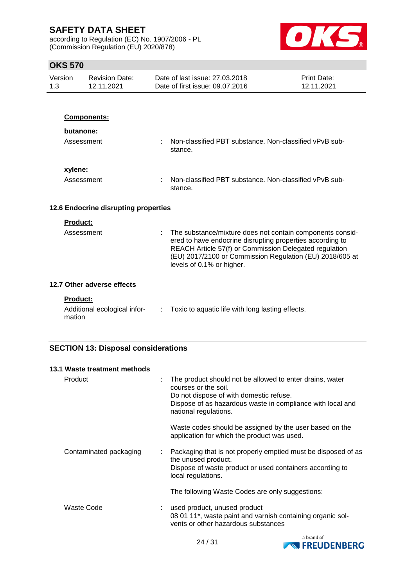according to Regulation (EC) No. 1907/2006 - PL (Commission Regulation (EU) 2020/878)



# **OKS 570**

| UNJ 37 U       |                                          |                                                                                                                                                                                                                                                                           |                           |
|----------------|------------------------------------------|---------------------------------------------------------------------------------------------------------------------------------------------------------------------------------------------------------------------------------------------------------------------------|---------------------------|
| Version<br>1.3 | <b>Revision Date:</b><br>12.11.2021      | Date of last issue: 27,03,2018<br>Date of first issue: 09.07.2016                                                                                                                                                                                                         | Print Date:<br>12.11.2021 |
|                |                                          |                                                                                                                                                                                                                                                                           |                           |
|                | Components:                              |                                                                                                                                                                                                                                                                           |                           |
|                | butanone:                                |                                                                                                                                                                                                                                                                           |                           |
|                | Assessment                               | Non-classified PBT substance. Non-classified vPvB sub-<br>stance.                                                                                                                                                                                                         |                           |
| xylene:        |                                          |                                                                                                                                                                                                                                                                           |                           |
|                | Assessment                               | Non-classified PBT substance. Non-classified vPvB sub-<br>stance.                                                                                                                                                                                                         |                           |
|                | 12.6 Endocrine disrupting properties     |                                                                                                                                                                                                                                                                           |                           |
|                | <b>Product:</b>                          |                                                                                                                                                                                                                                                                           |                           |
|                | Assessment                               | The substance/mixture does not contain components consid-<br>ered to have endocrine disrupting properties according to<br>REACH Article 57(f) or Commission Delegated regulation<br>(EU) 2017/2100 or Commission Regulation (EU) 2018/605 at<br>levels of 0.1% or higher. |                           |
|                | 12.7 Other adverse effects               |                                                                                                                                                                                                                                                                           |                           |
| mation         | Product:<br>Additional ecological infor- | Toxic to aquatic life with long lasting effects.                                                                                                                                                                                                                          |                           |

# **SECTION 13: Disposal considerations**

| 13.1 Waste treatment methods |                                                                                                                                                                                                                    |
|------------------------------|--------------------------------------------------------------------------------------------------------------------------------------------------------------------------------------------------------------------|
| Product<br>÷                 | The product should not be allowed to enter drains, water<br>courses or the soil.<br>Do not dispose of with domestic refuse.<br>Dispose of as hazardous waste in compliance with local and<br>national regulations. |
|                              | Waste codes should be assigned by the user based on the<br>application for which the product was used.                                                                                                             |
| Contaminated packaging<br>÷  | Packaging that is not properly emptied must be disposed of as<br>the unused product.<br>Dispose of waste product or used containers according to<br>local regulations.                                             |
|                              | The following Waste Codes are only suggestions:                                                                                                                                                                    |
| Waste Code                   | used product, unused product<br>08 01 11*, waste paint and varnish containing organic sol-<br>vents or other hazardous substances                                                                                  |

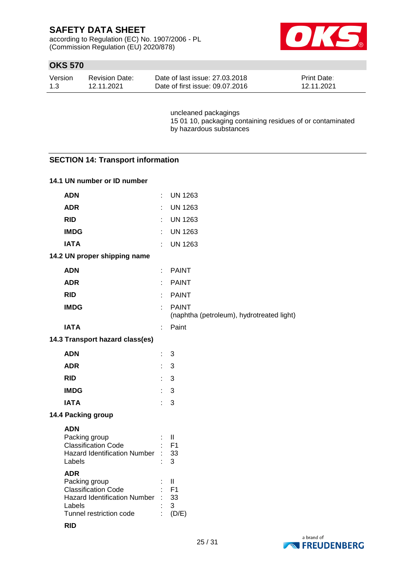according to Regulation (EC) No. 1907/2006 - PL (Commission Regulation (EU) 2020/878)



# **OKS 570**

| Version | <b>Revision Date:</b> | Date of last issue: 27,03,2018  | <b>Print Date:</b> |
|---------|-----------------------|---------------------------------|--------------------|
| 1.3     | 12.11.2021            | Date of first issue: 09.07.2016 | 12.11.2021         |

uncleaned packagings 15 01 10, packaging containing residues of or contaminated by hazardous substances

### **SECTION 14: Transport information**

### **14.1 UN number or ID number**

| <b>ADN</b>                                                                                                                            |    | <b>UN 1263</b>                                            |
|---------------------------------------------------------------------------------------------------------------------------------------|----|-----------------------------------------------------------|
| <b>ADR</b>                                                                                                                            |    | <b>UN 1263</b>                                            |
| <b>RID</b>                                                                                                                            |    | <b>UN 1263</b>                                            |
| <b>IMDG</b>                                                                                                                           |    | <b>UN 1263</b>                                            |
| <b>IATA</b>                                                                                                                           | ÷  | <b>UN 1263</b>                                            |
| 14.2 UN proper shipping name                                                                                                          |    |                                                           |
| <b>ADN</b>                                                                                                                            | ÷  | <b>PAINT</b>                                              |
| <b>ADR</b>                                                                                                                            | ÷  | <b>PAINT</b>                                              |
| <b>RID</b>                                                                                                                            |    | <b>PAINT</b>                                              |
| <b>IMDG</b>                                                                                                                           | ÷  | <b>PAINT</b><br>(naphtha (petroleum), hydrotreated light) |
| <b>IATA</b>                                                                                                                           | ÷  | Paint                                                     |
| 14.3 Transport hazard class(es)                                                                                                       |    |                                                           |
| <b>ADN</b>                                                                                                                            | t  | 3                                                         |
| <b>ADR</b>                                                                                                                            | t. | 3                                                         |
| <b>RID</b>                                                                                                                            | ÷  | 3                                                         |
| <b>IMDG</b>                                                                                                                           | ÷  | 3                                                         |
| <b>IATA</b>                                                                                                                           | ÷  | 3                                                         |
| 14.4 Packing group                                                                                                                    |    |                                                           |
| <b>ADN</b><br>Packing group<br><b>Classification Code</b><br><b>Hazard Identification Number</b><br>Labels                            |    | $\mathbf{  }$<br>F <sub>1</sub><br>33<br>3                |
| <b>ADR</b><br>Packing group<br><b>Classification Code</b><br><b>Hazard Identification Number</b><br>Labels<br>Tunnel restriction code |    | $\mathbf{I}$<br>F <sub>1</sub><br>33<br>3<br>(D/E)        |



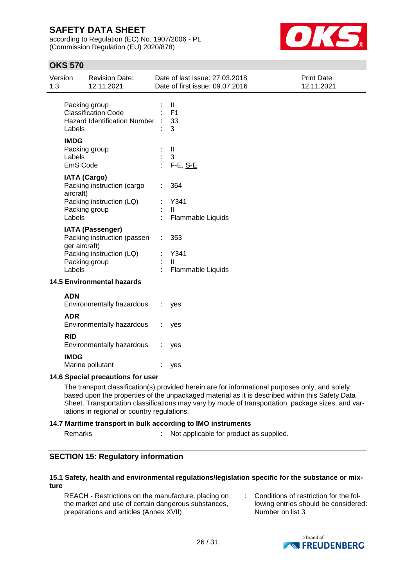according to Regulation (EC) No. 1907/2006 - PL (Commission Regulation (EU) 2020/878)



# **OKS 570**

| Version<br>1.3                                    |                                   | <b>Revision Date:</b><br>12.11.2021                                           |     | Date of last issue: 27.03.2018<br>Date of first issue: 09.07.2016 | Print Date:<br>12.11.2021 |
|---------------------------------------------------|-----------------------------------|-------------------------------------------------------------------------------|-----|-------------------------------------------------------------------|---------------------------|
|                                                   | Labels                            | Packing group<br><b>Classification Code</b><br>Hazard Identification Number : |     | $\mathbf{H}$<br>F <sub>1</sub><br>33<br>3                         |                           |
|                                                   | <b>IMDG</b><br>Labels<br>EmS Code | Packing group                                                                 |     | Ш<br>3<br>F-E, S-E                                                |                           |
| <b>IATA (Cargo)</b><br>Packing instruction (cargo |                                   |                                                                               | 364 |                                                                   |                           |
|                                                   | aircraft)<br>Labels               | Packing instruction (LQ)<br>Packing group                                     |     | Y341<br>$\mathbf{H}$<br>Flammable Liquids                         |                           |
|                                                   | ger aircraft)                     | <b>IATA (Passenger)</b><br>Packing instruction (passen-                       | ÷   | 353                                                               |                           |
|                                                   | Labels                            | Packing instruction (LQ)<br>Packing group                                     |     | Y341<br>$\mathbf{H}$<br>Flammable Liquids                         |                           |
| <b>14.5 Environmental hazards</b>                 |                                   |                                                                               |     |                                                                   |                           |
|                                                   | <b>ADN</b>                        | Environmentally hazardous                                                     |     | yes                                                               |                           |
|                                                   | <b>ADR</b>                        | Environmentally hazardous                                                     |     | yes                                                               |                           |
|                                                   | <b>RID</b>                        | Environmentally hazardous                                                     |     | yes                                                               |                           |
|                                                   | <b>IMDG</b>                       |                                                                               |     |                                                                   |                           |

### **14.6 Special precautions for user**

Marine pollutant : yes

The transport classification(s) provided herein are for informational purposes only, and solely based upon the properties of the unpackaged material as it is described within this Safety Data Sheet. Transportation classifications may vary by mode of transportation, package sizes, and variations in regional or country regulations.

### **14.7 Maritime transport in bulk according to IMO instruments**

Remarks : Not applicable for product as supplied.

### **SECTION 15: Regulatory information**

### **15.1 Safety, health and environmental regulations/legislation specific for the substance or mixture**

REACH - Restrictions on the manufacture, placing on the market and use of certain dangerous substances, preparations and articles (Annex XVII)

: Conditions of restriction for the following entries should be considered: Number on list 3

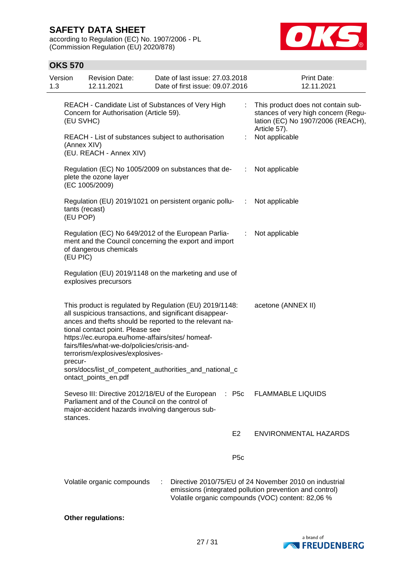according to Regulation (EC) No. 1907/2006 - PL (Commission Regulation (EU) 2020/878)



### **OKS 570**

| Version<br>1.3 | <b>Revision Date:</b><br>12.11.2021                                                                                                                                                                                                                                                                                              | Date of last issue: 27.03.2018<br>Date of first issue: 09.07.2016                                                              | Print Date:<br>12.11.2021                                                                                                                                              |
|----------------|----------------------------------------------------------------------------------------------------------------------------------------------------------------------------------------------------------------------------------------------------------------------------------------------------------------------------------|--------------------------------------------------------------------------------------------------------------------------------|------------------------------------------------------------------------------------------------------------------------------------------------------------------------|
|                | REACH - Candidate List of Substances of Very High<br>Concern for Authorisation (Article 59).<br>(EU SVHC)                                                                                                                                                                                                                        | This product does not contain sub-<br>stances of very high concern (Regu-<br>lation (EC) No 1907/2006 (REACH),<br>Article 57). |                                                                                                                                                                        |
|                | REACH - List of substances subject to authorisation<br>(Annex XIV)<br>(EU. REACH - Annex XIV)                                                                                                                                                                                                                                    | ÷                                                                                                                              | Not applicable                                                                                                                                                         |
|                | Regulation (EC) No 1005/2009 on substances that de-<br>plete the ozone layer<br>(EC 1005/2009)                                                                                                                                                                                                                                   | <b>Contract</b>                                                                                                                | Not applicable                                                                                                                                                         |
|                | Regulation (EU) 2019/1021 on persistent organic pollu-<br>tants (recast)<br>(EU POP)                                                                                                                                                                                                                                             | $\sim 10^6$                                                                                                                    | Not applicable                                                                                                                                                         |
|                | Regulation (EC) No 649/2012 of the European Parlia-<br>ment and the Council concerning the export and import<br>of dangerous chemicals<br>(EU PIC)                                                                                                                                                                               | $\ddot{\ddot{\phantom{z}}}$                                                                                                    | Not applicable                                                                                                                                                         |
|                | Regulation (EU) 2019/1148 on the marketing and use of<br>explosives precursors                                                                                                                                                                                                                                                   |                                                                                                                                |                                                                                                                                                                        |
|                | all suspicious transactions, and significant disappear-<br>ances and thefts should be reported to the relevant na-<br>tional contact point. Please see<br>https://ec.europa.eu/home-affairs/sites/ homeaf-<br>fairs/files/what-we-do/policies/crisis-and-<br>terrorism/explosives/explosives-<br>precur-<br>ontact_points_en.pdf | This product is regulated by Regulation (EU) 2019/1148:<br>sors/docs/list_of_competent_authorities_and_national_c              | acetone (ANNEX II)                                                                                                                                                     |
|                | Seveso III: Directive 2012/18/EU of the European<br>Parliament and of the Council on the control of<br>major-accident hazards involving dangerous sub-<br>stances.                                                                                                                                                               | $\therefore$ P5c                                                                                                               | <b>FLAMMABLE LIQUIDS</b>                                                                                                                                               |
|                |                                                                                                                                                                                                                                                                                                                                  | E <sub>2</sub>                                                                                                                 | <b>ENVIRONMENTAL HAZARDS</b>                                                                                                                                           |
|                |                                                                                                                                                                                                                                                                                                                                  | P <sub>5c</sub>                                                                                                                |                                                                                                                                                                        |
|                | Volatile organic compounds                                                                                                                                                                                                                                                                                                       |                                                                                                                                | Directive 2010/75/EU of 24 November 2010 on industrial<br>emissions (integrated pollution prevention and control)<br>Volatile organic compounds (VOC) content: 82,06 % |

### **Other regulations:**

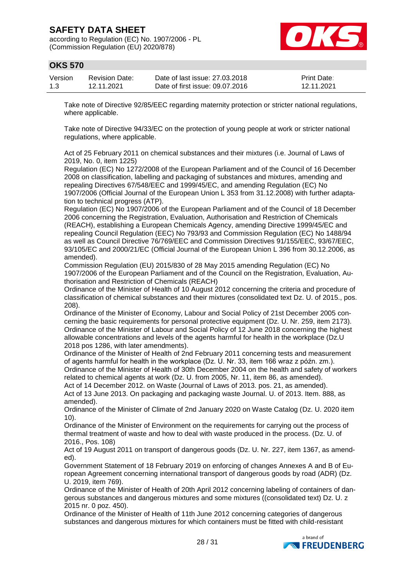according to Regulation (EC) No. 1907/2006 - PL (Commission Regulation (EU) 2020/878)



## **OKS 570**

| Version | <b>Revision Date:</b> | Date of last issue: 27,03,2018  | <b>Print Date:</b> |
|---------|-----------------------|---------------------------------|--------------------|
| 1.3     | 12.11.2021            | Date of first issue: 09.07.2016 | 12.11.2021         |

Take note of Directive 92/85/EEC regarding maternity protection or stricter national regulations, where applicable.

Take note of Directive 94/33/EC on the protection of young people at work or stricter national regulations, where applicable.

Act of 25 February 2011 on chemical substances and their mixtures (i.e. Journal of Laws of 2019, No. 0, item 1225)

Regulation (EC) No 1272/2008 of the European Parliament and of the Council of 16 December 2008 on classification, labelling and packaging of substances and mixtures, amending and repealing Directives 67/548/EEC and 1999/45/EC, and amending Regulation (EC) No 1907/2006 (Official Journal of the European Union L 353 from 31.12.2008) with further adaptation to technical progress (ATP).

Regulation (EC) No 1907/2006 of the European Parliament and of the Council of 18 December 2006 concerning the Registration, Evaluation, Authorisation and Restriction of Chemicals (REACH), establishing a European Chemicals Agency, amending Directive 1999/45/EC and repealing Council Regulation (EEC) No 793/93 and Commission Regulation (EC) No 1488/94 as well as Council Directive 76/769/EEC and Commission Directives 91/155/EEC, 93/67/EEC, 93/105/EC and 2000/21/EC (Official Journal of the European Union L 396 from 30.12.2006, as amended).

Commission Regulation (EU) 2015/830 of 28 May 2015 amending Regulation (EC) No 1907/2006 of the European Parliament and of the Council on the Registration, Evaluation, Authorisation and Restriction of Chemicals (REACH)

Ordinance of the Minister of Health of 10 August 2012 concerning the criteria and procedure of classification of chemical substances and their mixtures (consolidated text Dz. U. of 2015., pos. 208).

Ordinance of the Minister of Economy, Labour and Social Policy of 21st December 2005 concerning the basic requirements for personal protective equipment (Dz. U. Nr. 259, item 2173). Ordinance of the Minister of Labour and Social Policy of 12 June 2018 concerning the highest allowable concentrations and levels of the agents harmful for health in the workplace (Dz.U 2018 pos 1286, with later amendments).

Ordinance of the Minister of Health of 2nd February 2011 concerning tests and measurement of agents harmful for health in the workplace (Dz. U. Nr. 33, item 166 wraz z późn. zm.). Ordinance of the Minister of Health of 30th December 2004 on the health and safety of workers

related to chemical agents at work (Dz. U. from 2005, Nr. 11, item 86, as amended). Act of 14 December 2012. on Waste (Journal of Laws of 2013. pos. 21, as amended).

Act of 13 June 2013. On packaging and packaging waste Journal. U. of 2013. Item. 888, as amended).

Ordinance of the Minister of Climate of 2nd January 2020 on Waste Catalog (Dz. U. 2020 item 10).

Ordinance of the Minister of Environment on the requirements for carrying out the process of thermal treatment of waste and how to deal with waste produced in the process. (Dz. U. of 2016., Pos. 108)

Act of 19 August 2011 on transport of dangerous goods (Dz. U. Nr. 227, item 1367, as amended).

Government Statement of 18 February 2019 on enforcing of changes Annexes A and B of European Agreement concerning international transport of dangerous goods by road (ADR) (Dz. U. 2019, item 769).

Ordinance of the Minister of Health of 20th April 2012 concerning labeling of containers of dangerous substances and dangerous mixtures and some mixtures ((consolidated text) Dz. U. z 2015 nr. 0 poz. 450).

Ordinance of the Minister of Health of 11th June 2012 concerning categories of dangerous substances and dangerous mixtures for which containers must be fitted with child-resistant

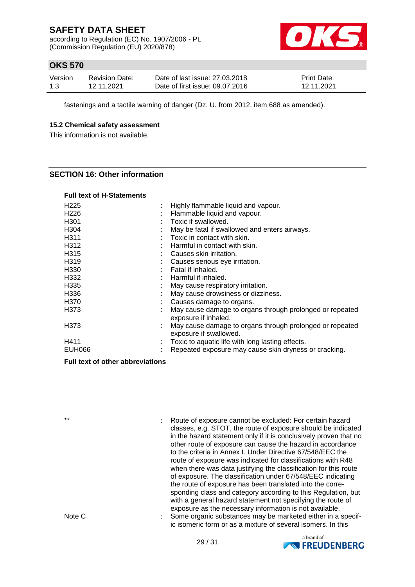according to Regulation (EC) No. 1907/2006 - PL (Commission Regulation (EU) 2020/878)



# **OKS 570**

| Version | <b>Revision Date:</b> | Date of last issue: 27,03,2018  | <b>Print Date:</b> |
|---------|-----------------------|---------------------------------|--------------------|
| 1.3     | 12.11.2021            | Date of first issue: 09.07.2016 | 12.11.2021         |

fastenings and a tactile warning of danger (Dz. U. from 2012, item 688 as amended).

### **15.2 Chemical safety assessment**

This information is not available.

### **SECTION 16: Other information**

### **Full text of H-Statements**

| H <sub>225</sub>  | Highly flammable liquid and vapour.                                                |
|-------------------|------------------------------------------------------------------------------------|
| H <sub>226</sub>  | Flammable liquid and vapour.                                                       |
| H <sub>301</sub>  | Toxic if swallowed.                                                                |
| H <sub>304</sub>  | May be fatal if swallowed and enters airways.                                      |
| H <sub>3</sub> 11 | Toxic in contact with skin.                                                        |
| H312              | Harmful in contact with skin.                                                      |
| H <sub>3</sub> 15 | Causes skin irritation.                                                            |
| H319              | Causes serious eye irritation.                                                     |
| H <sub>330</sub>  | Fatal if inhaled.                                                                  |
| H332              | Harmful if inhaled.                                                                |
| H335              | May cause respiratory irritation.                                                  |
| H336              | May cause drowsiness or dizziness.                                                 |
| H370              | Causes damage to organs.                                                           |
| H373              | May cause damage to organs through prolonged or repeated<br>exposure if inhaled.   |
| H373              | May cause damage to organs through prolonged or repeated<br>exposure if swallowed. |
| H411              | Toxic to aquatic life with long lasting effects.                                   |
| EUH066            | Repeated exposure may cause skin dryness or cracking.                              |
|                   |                                                                                    |

### **Full text of other abbreviations**

\*\* : Route of exposure cannot be excluded: For certain hazard classes, e.g. STOT, the route of exposure should be indicated in the hazard statement only if it is conclusively proven that no other route of exposure can cause the hazard in accordance to the criteria in Annex I. Under Directive 67/548/EEC the route of exposure was indicated for classifications with R48 when there was data justifying the classification for this route of exposure. The classification under 67/548/EEC indicating the route of exposure has been translated into the corresponding class and category according to this Regulation, but with a general hazard statement not specifying the route of exposure as the necessary information is not available. Note C : Some organic substances may be marketed either in a specific isomeric form or as a mixture of several isomers. In this

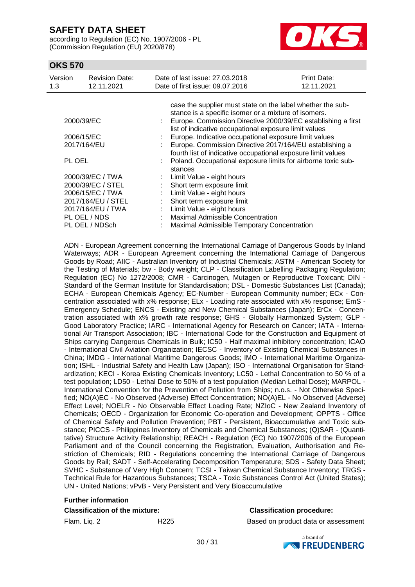according to Regulation (EC) No. 1907/2006 - PL (Commission Regulation (EU) 2020/878)



### **OKS 570**

| Version<br>1.3     | <b>Revision Date:</b><br>12.11.2021 |                             | Date of last issue: 27,03,2018<br>Date of first issue: 09.07.2016                                                       | Print Date:<br>12.11.2021 |  |  |
|--------------------|-------------------------------------|-----------------------------|-------------------------------------------------------------------------------------------------------------------------|---------------------------|--|--|
|                    |                                     |                             | case the supplier must state on the label whether the sub-                                                              |                           |  |  |
|                    |                                     |                             | stance is a specific isomer or a mixture of isomers.                                                                    |                           |  |  |
| 2000/39/EC         |                                     |                             | Europe. Commission Directive 2000/39/EC establishing a first<br>list of indicative occupational exposure limit values   |                           |  |  |
|                    | 2006/15/EC                          |                             | Europe. Indicative occupational exposure limit values                                                                   |                           |  |  |
| 2017/164/EU        |                                     |                             | Europe. Commission Directive 2017/164/EU establishing a<br>fourth list of indicative occupational exposure limit values |                           |  |  |
| PL OEL             |                                     |                             | Poland. Occupational exposure limits for airborne toxic sub-<br>stances                                                 |                           |  |  |
| 2000/39/EC / TWA   |                                     |                             | : Limit Value - eight hours                                                                                             |                           |  |  |
| 2000/39/EC / STEL  |                                     |                             | Short term exposure limit                                                                                               |                           |  |  |
| 2006/15/EC / TWA   |                                     | $\mathcal{L}^{\mathcal{L}}$ | Limit Value - eight hours                                                                                               |                           |  |  |
| 2017/164/EU / STEL |                                     |                             | Short term exposure limit                                                                                               |                           |  |  |
| 2017/164/EU / TWA  |                                     |                             | Limit Value - eight hours                                                                                               |                           |  |  |
|                    | PL OEL / NDS                        |                             | Maximal Admissible Concentration                                                                                        |                           |  |  |
| PL OEL / NDSch     |                                     |                             | Maximal Admissible Temporary Concentration                                                                              |                           |  |  |

ADN - European Agreement concerning the International Carriage of Dangerous Goods by Inland Waterways; ADR - European Agreement concerning the International Carriage of Dangerous Goods by Road; AIIC - Australian Inventory of Industrial Chemicals; ASTM - American Society for the Testing of Materials; bw - Body weight; CLP - Classification Labelling Packaging Regulation; Regulation (EC) No 1272/2008; CMR - Carcinogen, Mutagen or Reproductive Toxicant; DIN - Standard of the German Institute for Standardisation; DSL - Domestic Substances List (Canada); ECHA - European Chemicals Agency; EC-Number - European Community number; ECx - Concentration associated with x% response; ELx - Loading rate associated with x% response; EmS - Emergency Schedule; ENCS - Existing and New Chemical Substances (Japan); ErCx - Concentration associated with x% growth rate response; GHS - Globally Harmonized System; GLP - Good Laboratory Practice; IARC - International Agency for Research on Cancer; IATA - International Air Transport Association; IBC - International Code for the Construction and Equipment of Ships carrying Dangerous Chemicals in Bulk; IC50 - Half maximal inhibitory concentration; ICAO - International Civil Aviation Organization; IECSC - Inventory of Existing Chemical Substances in China; IMDG - International Maritime Dangerous Goods; IMO - International Maritime Organization; ISHL - Industrial Safety and Health Law (Japan); ISO - International Organisation for Standardization; KECI - Korea Existing Chemicals Inventory; LC50 - Lethal Concentration to 50 % of a test population; LD50 - Lethal Dose to 50% of a test population (Median Lethal Dose); MARPOL - International Convention for the Prevention of Pollution from Ships; n.o.s. - Not Otherwise Specified; NO(A)EC - No Observed (Adverse) Effect Concentration; NO(A)EL - No Observed (Adverse) Effect Level; NOELR - No Observable Effect Loading Rate; NZIoC - New Zealand Inventory of Chemicals; OECD - Organization for Economic Co-operation and Development; OPPTS - Office of Chemical Safety and Pollution Prevention; PBT - Persistent, Bioaccumulative and Toxic substance; PICCS - Philippines Inventory of Chemicals and Chemical Substances; (Q)SAR - (Quantitative) Structure Activity Relationship; REACH - Regulation (EC) No 1907/2006 of the European Parliament and of the Council concerning the Registration, Evaluation, Authorisation and Restriction of Chemicals; RID - Regulations concerning the International Carriage of Dangerous Goods by Rail; SADT - Self-Accelerating Decomposition Temperature; SDS - Safety Data Sheet; SVHC - Substance of Very High Concern; TCSI - Taiwan Chemical Substance Inventory; TRGS - Technical Rule for Hazardous Substances; TSCA - Toxic Substances Control Act (United States); UN - United Nations; vPvB - Very Persistent and Very Bioaccumulative

# **Further information**

### **Classification of the mixture: Classification procedure:**

Flam. Liq. 2 H225 Based on product data or assessment